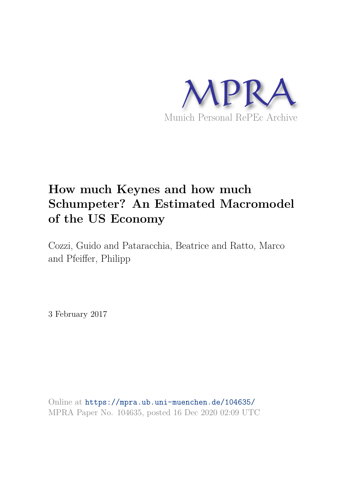

# **How much Keynes and how much Schumpeter? An Estimated Macromodel of the US Economy**

Cozzi, Guido and Pataracchia, Beatrice and Ratto, Marco and Pfeiffer, Philipp

3 February 2017

Online at https://mpra.ub.uni-muenchen.de/104635/ MPRA Paper No. 104635, posted 16 Dec 2020 02:09 UTC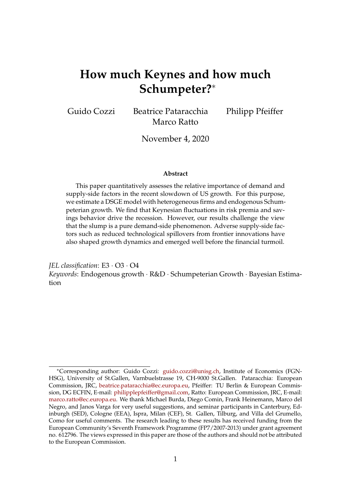# **How much Keynes and how much Schumpeter?**<sup>∗</sup>

Guido Cozzi Beatrice Pataracchia Philipp Pfeiffer Marco Ratto

November 4, 2020

#### **Abstract**

This paper quantitatively assesses the relative importance of demand and supply-side factors in the recent slowdown of US growth. For this purpose, we estimate a DSGE model with heterogeneous firms and endogenous Schumpeterian growth. We find that Keynesian fluctuations in risk premia and savings behavior drive the recession. However, our results challenge the view that the slump is a pure demand-side phenomenon. Adverse supply-side factors such as reduced technological spillovers from frontier innovations have also shaped growth dynamics and emerged well before the financial turmoil.

*JEL classification*: E3 · O3 · O4 *Keywords*: Endogenous growth · R&D · Schumpeterian Growth · Bayesian Estimation

<sup>∗</sup>Corresponding author: Guido Cozzi: guido.cozzi@unisg.ch, Institute of Economics (FGN-HSG), University of St.Gallen, Varnbuelstrasse 19, CH-9000 St.Gallen. Pataracchia: European Commission, JRC, beatrice.pataracchia@ec.europa.eu, Pfeiffer: TU Berlin & European Commission, DG ECFIN, E-mail: philipplepfeiffer@gmail.com, Ratto: European Commission, JRC, E-mail: marco.ratto@ec.europa.eu. We thank Michael Burda, Diego Comin, Frank Heinemann, Marco del Negro, and Janos Varga for very useful suggestions, and seminar participants in Canterbury, Edinburgh (SED), Cologne (EEA), Ispra, Milan (CEF), St. Gallen, Tilburg, and Villa del Grumello, Como for useful comments. The research leading to these results has received funding from the European Community's Seventh Framework Programme (FP7/2007-2013) under grant agreement no. 612796. The views expressed in this paper are those of the authors and should not be attributed to the European Commission.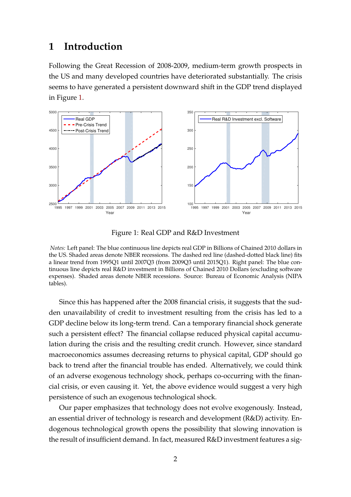### **1 Introduction**

Following the Great Recession of 2008-2009, medium-term growth prospects in the US and many developed countries have deteriorated substantially. The crisis seems to have generated a persistent downward shift in the GDP trend displayed in Figure 1.



Figure 1: Real GDP and R&D Investment

*Notes:* Left panel: The blue continuous line depicts real GDP in Billions of Chained 2010 dollars in the US. Shaded areas denote NBER recessions. The dashed red line (dashed-dotted black line) fits a linear trend from 1995Q1 until 2007Q3 (from 2009Q3 until 2015Q1). Right panel: The blue continuous line depicts real R&D investment in Billions of Chained 2010 Dollars (excluding software expenses). Shaded areas denote NBER recessions. Source: Bureau of Economic Analysis (NIPA tables).

Since this has happened after the 2008 financial crisis, it suggests that the sudden unavailability of credit to investment resulting from the crisis has led to a GDP decline below its long-term trend. Can a temporary financial shock generate such a persistent effect? The financial collapse reduced physical capital accumulation during the crisis and the resulting credit crunch. However, since standard macroeconomics assumes decreasing returns to physical capital, GDP should go back to trend after the financial trouble has ended. Alternatively, we could think of an adverse exogenous technology shock, perhaps co-occurring with the financial crisis, or even causing it. Yet, the above evidence would suggest a very high persistence of such an exogenous technological shock.

Our paper emphasizes that technology does not evolve exogenously. Instead, an essential driver of technology is research and development (R&D) activity. Endogenous technological growth opens the possibility that slowing innovation is the result of insufficient demand. In fact, measured R&D investment features a sig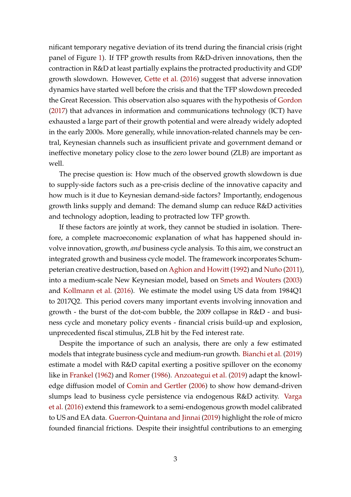nificant temporary negative deviation of its trend during the financial crisis (right panel of Figure 1). If TFP growth results from R&D-driven innovations, then the contraction in R&D at least partially explains the protracted productivity and GDP growth slowdown. However, Cette et al. (2016) suggest that adverse innovation dynamics have started well before the crisis and that the TFP slowdown preceded the Great Recession. This observation also squares with the hypothesis of Gordon (2017) that advances in information and communications technology (ICT) have exhausted a large part of their growth potential and were already widely adopted in the early 2000s. More generally, while innovation-related channels may be central, Keynesian channels such as insufficient private and government demand or ineffective monetary policy close to the zero lower bound (ZLB) are important as well.

The precise question is: How much of the observed growth slowdown is due to supply-side factors such as a pre-crisis decline of the innovative capacity and how much is it due to Keynesian demand-side factors? Importantly, endogenous growth links supply and demand: The demand slump can reduce R&D activities and technology adoption, leading to protracted low TFP growth.

If these factors are jointly at work, they cannot be studied in isolation. Therefore, a complete macroeconomic explanation of what has happened should involve innovation, growth, *and* business cycle analysis. To this aim, we construct an integrated growth and business cycle model. The framework incorporates Schumpeterian creative destruction, based on Aghion and Howitt (1992) and Nuño (2011), into a medium-scale New Keynesian model, based on Smets and Wouters (2003) and Kollmann et al. (2016). We estimate the model using US data from 1984Q1 to 2017Q2. This period covers many important events involving innovation and growth - the burst of the dot-com bubble, the 2009 collapse in R&D - and business cycle and monetary policy events - financial crisis build-up and explosion, unprecedented fiscal stimulus, ZLB hit by the Fed interest rate.

Despite the importance of such an analysis, there are only a few estimated models that integrate business cycle and medium-run growth. Bianchi et al. (2019) estimate a model with R&D capital exerting a positive spillover on the economy like in Frankel (1962) and Romer (1986). Anzoategui et al. (2019) adapt the knowledge diffusion model of Comin and Gertler (2006) to show how demand-driven slumps lead to business cycle persistence via endogenous R&D activity. Varga et al. (2016) extend this framework to a semi-endogenous growth model calibrated to US and EA data. Guerron-Quintana and Jinnai (2019) highlight the role of micro founded financial frictions. Despite their insightful contributions to an emerging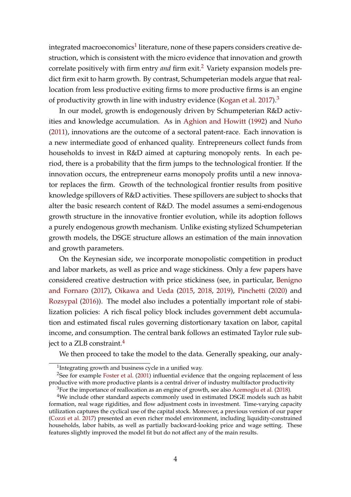integrated macroeconomics $^1$  literature, none of these papers considers creative destruction, which is consistent with the micro evidence that innovation and growth correlate positively with firm entry *and* firm exit.<sup>2</sup> Variety expansion models predict firm exit to harm growth. By contrast, Schumpeterian models argue that reallocation from less productive exiting firms to more productive firms is an engine of productivity growth in line with industry evidence (Kogan et al. 2017).<sup>3</sup>

In our model, growth is endogenously driven by Schumpeterian R&D activities and knowledge accumulation. As in Aghion and Howitt (1992) and Nuño (2011), innovations are the outcome of a sectoral patent-race. Each innovation is a new intermediate good of enhanced quality. Entrepreneurs collect funds from households to invest in R&D aimed at capturing monopoly rents. In each period, there is a probability that the firm jumps to the technological frontier. If the innovation occurs, the entrepreneur earns monopoly profits until a new innovator replaces the firm. Growth of the technological frontier results from positive knowledge spillovers of R&D activities. These spillovers are subject to shocks that alter the basic research content of R&D. The model assumes a semi-endogenous growth structure in the innovative frontier evolution, while its adoption follows a purely endogenous growth mechanism. Unlike existing stylized Schumpeterian growth models, the DSGE structure allows an estimation of the main innovation and growth parameters.

On the Keynesian side, we incorporate monopolistic competition in product and labor markets, as well as price and wage stickiness. Only a few papers have considered creative destruction with price stickiness (see, in particular, Benigno and Fornaro (2017), Oikawa and Ueda (2015, 2018, 2019), Pinchetti (2020) and Rozsypal (2016)). The model also includes a potentially important role of stabilization policies: A rich fiscal policy block includes government debt accumulation and estimated fiscal rules governing distortionary taxation on labor, capital income, and consumption. The central bank follows an estimated Taylor rule subject to a ZLB constraint.<sup>4</sup>

We then proceed to take the model to the data. Generally speaking, our analy-

<sup>&</sup>lt;sup>1</sup>Integrating growth and business cycle in a unified way.

<sup>&</sup>lt;sup>2</sup>See for example Foster et al. (2001) influential evidence that the ongoing replacement of less productive with more productive plants is a central driver of industry multifactor productivity

<sup>&</sup>lt;sup>3</sup>For the importance of reallocation as an engine of growth, see also Acemoglu et al. (2018).

<sup>&</sup>lt;sup>4</sup>We include other standard aspects commonly used in estimated DSGE models such as habit formation, real wage rigidities, and flow adjustment costs in investment. Time-varying capacity utilization captures the cyclical use of the capital stock. Moreover, a previous version of our paper (Cozzi et al. 2017) presented an even richer model environment, including liquidity-constrained households, labor habits, as well as partially backward-looking price and wage setting. These features slightly improved the model fit but do not affect any of the main results.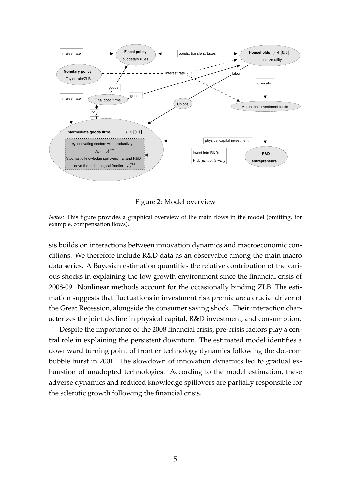

Figure 2: Model overview

*Notes:* This figure provides a graphical overview of the main flows in the model (omitting, for example, compensation flows).

sis builds on interactions between innovation dynamics and macroeconomic conditions. We therefore include R&D data as an observable among the main macro data series. A Bayesian estimation quantifies the relative contribution of the various shocks in explaining the low growth environment since the financial crisis of 2008-09. Nonlinear methods account for the occasionally binding ZLB. The estimation suggests that fluctuations in investment risk premia are a crucial driver of the Great Recession, alongside the consumer saving shock. Their interaction characterizes the joint decline in physical capital, R&D investment, and consumption.

Despite the importance of the 2008 financial crisis, pre-crisis factors play a central role in explaining the persistent downturn. The estimated model identifies a downward turning point of frontier technology dynamics following the dot-com bubble burst in 2001. The slowdown of innovation dynamics led to gradual exhaustion of unadopted technologies. According to the model estimation, these adverse dynamics and reduced knowledge spillovers are partially responsible for the sclerotic growth following the financial crisis.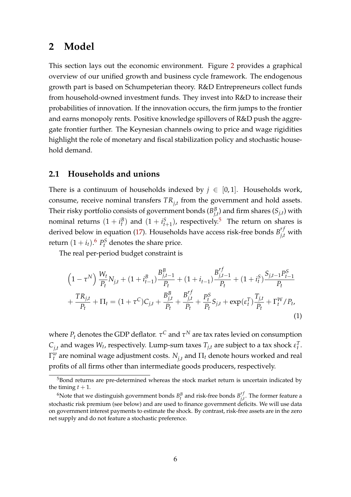### **2 Model**

This section lays out the economic environment. Figure 2 provides a graphical overview of our unified growth and business cycle framework. The endogenous growth part is based on Schumpeterian theory. R&D Entrepreneurs collect funds from household-owned investment funds. They invest into R&D to increase their probabilities of innovation. If the innovation occurs, the firm jumps to the frontier and earns monopoly rents. Positive knowledge spillovers of R&D push the aggregate frontier further. The Keynesian channels owing to price and wage rigidities highlight the role of monetary and fiscal stabilization policy and stochastic household demand.

### **2.1 Households and unions**

There is a continuum of households indexed by  $j \in [0,1]$ . Households work, consume, receive nominal transfers *TRj*,*<sup>t</sup>* from the government and hold assets. Their risky portfolio consists of government bonds ( $B^B_i$  $_{j,t}^B$ ) and firm shares  $(S_{j,t})$  with nominal returns  $(1 + i_t^B)$  and  $(1 + i_{t+1}^S)$ , respectively.<sup>5</sup> The return on shares is derived below in equation (17). Households have access risk-free bonds  $B_{j,t}^{rf}$  with return  $(1 + i_t)$ .<sup>6</sup>  $P_t^S$  denotes the share price.

The real per-period budget constraint is

$$
\left(1 - \tau^{N}\right) \frac{W_{t}}{P_{t}} N_{j,t} + \left(1 + i_{t-1}^{B}\right) \frac{B_{j,t-1}^{B}}{P_{t}} + \left(1 + i_{t-1}\right) \frac{B_{j,t-1}^{rf}}{P_{t}} + \left(1 + i_{t}^{S}\right) \frac{S_{j,t-1} P_{t-1}^{S}}{P_{t}} + \frac{T R_{j,t}}{P_{t}} + \Pi_{t} = (1 + \tau^{C}) C_{j,t} + \frac{B_{j,t}^{B}}{P_{t}} + \frac{B_{j,t}^{rf}}{P_{t}} + \frac{P_{t}^{S}}{P_{t}} S_{j,t} + \exp(\varepsilon_{t}^{T}) \frac{T_{j,t}}{P_{t}} + \Gamma_{t}^{W} / P_{t},
$$
\n(1)

where  $P_t$  denotes the GDP deflator.  $\tau^C$  and  $\tau^N$  are tax rates levied on consumption  $C_{j,t}$  and wages  $W_t$ , respectively. Lump-sum taxes  $T_{j,t}$  are subject to a tax shock  $\varepsilon_t^T$ .  $\Gamma_t^w$  are nominal wage adjustment costs.  $N_{j,t}$  and  $\Pi_t$  denote hours worked and real profits of all firms other than intermediate goods producers, respectively.

<sup>&</sup>lt;sup>5</sup>Bond returns are pre-determined whereas the stock market return is uncertain indicated by the timing  $t + 1$ .

<sup>&</sup>lt;sup>6</sup>Note that we distinguish government bonds  $B_t^B$  and risk-free bonds  $B_{j,t}^{rj}$ *j*,*t* . The former feature a stochastic risk premium (see below) and are used to finance government deficits. We will use data on government interest payments to estimate the shock. By contrast, risk-free assets are in the zero net supply and do not feature a stochastic preference.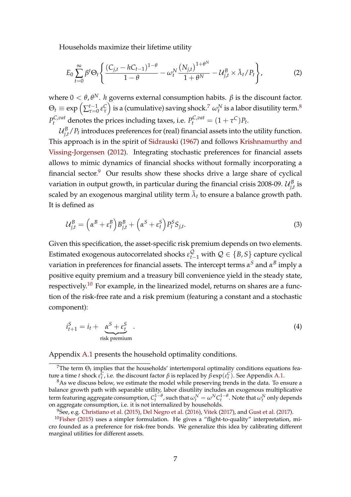Households maximize their lifetime utility

$$
E_0 \sum_{t=0}^{\infty} \beta^t \Theta_t \left\{ \frac{(C_{j,t} - hC_{t-1})^{1-\theta}}{1-\theta} - \omega_t^N \frac{(N_{j,t})^{1+\theta^N}}{1+\theta^N} - \mathcal{U}_{j,t}^B \times \bar{\lambda}_t / P_t \right\},
$$
 (2)

where  $0 < θ, θ^N$ . *h* governs external consumption habits.  $β$  is the discount factor.  $\Theta_t \equiv \exp\left(\sum_{\tau=0}^{t-1}$  $\left(\frac{t-1}{\tau=0}\, \epsilon\right)$  is a (cumulative) saving shock.<sup>7</sup>  $\, \omega^{N}_{t}$  is a labor disutility term.<sup>8</sup>  $P_t^{C, vat}$  denotes the prices including taxes, i.e.  $P_t^{C, vat} = (1 + \tau^C)P_t$ .

 $\mathcal{U}^B_{i,j}$  $\frac{B}{\mu}$ */P<sub>t</sub>* introduces preferences for (real) financial assets into the utility function. This approach is in the spirit of Sidrauski (1967) and follows Krishnamurthy and Vissing-Jorgensen (2012). Integrating stochastic preferences for financial assets allows to mimic dynamics of financial shocks without formally incorporating a financial sector. $9$  Our results show these shocks drive a large share of cyclical variation in output growth*,* in particular during the financial crisis 2008-09.  $\mathcal{U}_{i,j}^B$  $\int_{j,t}^{B}$  is scaled by an exogenous marginal utility term  $\bar{\lambda}_t$  to ensure a balance growth path. It is defined as

$$
\mathcal{U}_{j,t}^B = \left(\alpha^B + \varepsilon_t^B\right) B_{j,t}^B + \left(\alpha^S + \varepsilon_t^S\right) P_t^S S_{j,t}.\tag{3}
$$

Given this specification, the asset-specific risk premium depends on two elements. Estimated exogenous autocorrelated shocks  $\varepsilon_{t-1}^{\mathcal{Q}}$  with  $\mathcal{Q} \in \{B,S\}$  capture cyclical variation in preferences for financial assets. The intercept terms *α <sup>S</sup>* and *α B* imply a positive equity premium and a treasury bill convenience yield in the steady state, respectively.<sup>10</sup> For example, in the linearized model, returns on shares are a function of the risk-free rate and a risk premium (featuring a constant and a stochastic component):

$$
i_{t+1}^S = i_t + \underbrace{\alpha^S + \varepsilon_t^S}_{\text{risk premium}} \tag{4}
$$

Appendix A.1 presents the household optimality conditions.

 $9$ See, e.g. Christiano et al. (2015), Del Negro et al. (2016), Vitek (2017), and Gust et al. (2017).

 $^7$ The term  $\Theta_t$  implies that the households' intertemporal optimality conditions equations feature a time *t* shock  $\epsilon_t^C$ , i.e. the discount factor *β* is replaced by  $\bar{\beta}$  exp( $\epsilon_t^C$ ). See Appendix A.1.

 $8As$  we discuss below, we estimate the model while preserving trends in the data. To ensure a balance growth path with separable utility, labor disutility includes an exogenous multiplicative term featuring aggregate consumption,  $C_t^{1-\theta}$ , such that  $\omega_t^N=\omega^N C_t^{1-\theta}$ . Note that  $\omega_t^N$  only depends on aggregate consumption, i.e. it is not internalized by households.

 $10$ Fisher (2015) uses a simpler formulation. He gives a "flight-to-quality" interpretation, micro founded as a preference for risk-free bonds. We generalize this idea by calibrating different marginal utilities for different assets.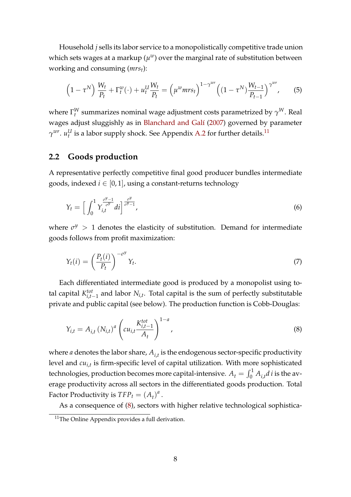Household *j* sells its labor service to a monopolistically competitive trade union which sets wages at a markup  $(\mu^w)$  over the marginal rate of substitution between working and consuming (*mrst*):

$$
\left(1 - \tau^N\right) \frac{W_t}{P_t} + \Gamma_t^w(\cdot) + u_t^U \frac{W_t}{P_t} = \left(\mu^w m r s_t\right)^{1 - \gamma^{wr}} \left((1 - \tau^N)\frac{W_{t-1}}{P_{t-1}}\right)^{\gamma^{wr}},\tag{5}
$$

where  $\Gamma_t^W$  summarizes nominal wage adjustment costs parametrized by  $\gamma^W$ . Real wages adjust sluggishly as in Blanchard and Galí (2007) governed by parameter  $\gamma^{wr}$ .  $u^{U}_{t}$  is a labor supply shock. See Appendix A.2 for further details.<sup>11</sup>

### **2.2 Goods production**

A representative perfectly competitive final good producer bundles intermediate goods, indexed  $i \in [0, 1]$ , using a constant-returns technology

$$
Y_t = \left[ \int_0^1 Y_{i,t}^{\frac{\sigma^y - 1}{\sigma^y}} dt \right]_{\sigma^y - 1}^{\frac{\sigma^y}{\sigma^y - 1}},\tag{6}
$$

where  $\sigma^y$  > 1 denotes the elasticity of substitution. Demand for intermediate goods follows from profit maximization:

$$
Y_t(i) = \left(\frac{P_t(i)}{P_t}\right)^{-\sigma^y} Y_t.
$$
\n<sup>(7)</sup>

Each differentiated intermediate good is produced by a monopolist using total capital  $K_{i,t-1}^{tot}$  and labor  $N_{i,t}$ . Total capital is the sum of perfectly substitutable private and public capital (see below). The production function is Cobb-Douglas:

$$
Y_{i,t} = A_{i,t} (N_{i,t})^a \left( c u_{i,t} \frac{K_{i,t-1}^{tot}}{A_t} \right)^{1-a}, \qquad (8)
$$

where *a* denotes the labor share, *Ai*,*<sup>t</sup>* is the endogenous sector-specific productivity level and *cui*,*<sup>t</sup>* is firm-specific level of capital utilization. With more sophisticated technologies, production becomes more capital-intensive.  $A_t = \int_0^1 A_{i,t} d\,i$  is the average productivity across all sectors in the differentiated goods production. Total Factor Productivity is  $TFP_t = (A_t)^a$ .

As a consequence of (8), sectors with higher relative technological sophistica-

<sup>&</sup>lt;sup>11</sup>The Online Appendix provides a full derivation.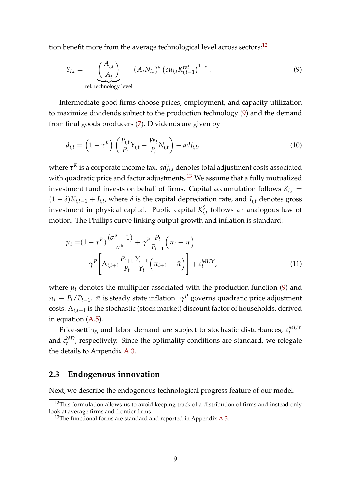tion benefit more from the average technological level across sectors: $^{12}$ 

$$
Y_{i,t} = \underbrace{\left(\frac{A_{i,t}}{A_t}\right)}_{\text{rel. technology level}} \left(A_t N_{i,t}\right)^a \left(c u_{i,t} K_{i,t-1}^{tot}\right)^{1-a}.
$$
\n
$$
(9)
$$

Intermediate good firms choose prices, employment, and capacity utilization to maximize dividends subject to the production technology (9) and the demand from final goods producers (7). Dividends are given by

$$
d_{i,t} = \left(1 - \tau^K\right) \left(\frac{P_{i,t}}{P_t} Y_{i,t} - \frac{W_t}{P_t} N_{i,t}\right) - adj_{i,t},\tag{10}
$$

where  $\tau^K$  is a corporate income tax.  $adj_{i,t}$  denotes total adjustment costs associated with quadratic price and factor adjustments.<sup>13</sup> We assume that a fully mutualized investment fund invests on behalf of firms. Capital accumulation follows  $K_{i,t}$  =  $(1 - \delta)K_{i,t-1} + I_{i,t}$ , where  $\delta$  is the capital depreciation rate, and  $I_{i,t}$  denotes gross investment in physical capital. Public capital  $K_i^g$  $\sum_{i,t}^8$  follows an analogous law of motion. The Phillips curve linking output growth and inflation is standard:

$$
\mu_{t} = (1 - \tau^{K}) \frac{(\sigma^{y} - 1)}{\sigma^{y}} + \gamma^{P} \frac{P_{t}}{P_{t-1}} (\pi_{t} - \bar{\pi})
$$

$$
- \gamma^{P} \left[ \Lambda_{t,t+1} \frac{P_{t+1}}{P_{t}} \frac{Y_{t+1}}{Y_{t}} (\pi_{t+1} - \bar{\pi}) \right] + \epsilon_{t}^{MUY}, \qquad (11)
$$

where  $\mu_t$  denotes the multiplier associated with the production function (9) and  $\pi_t \equiv P_t/P_{t-1}$ .  $\bar{\pi}$  is steady state inflation.  $\gamma^P$  governs quadratic price adjustment costs. Λ*t*,*t*+<sup>1</sup> is the stochastic (stock market) discount factor of households, derived in equation (A.5).

Price-setting and labor demand are subject to stochastic disturbances,  $\varepsilon_t^{MUY}$ and  $\varepsilon_t^{ND}$ , respectively. Since the optimality conditions are standard, we relegate the details to Appendix A.3.

### **2.3 Endogenous innovation**

Next, we describe the endogenous technological progress feature of our model.

 $12$ This formulation allows us to avoid keeping track of a distribution of firms and instead only look at average firms and frontier firms.

 $13$ The functional forms are standard and reported in Appendix A.3.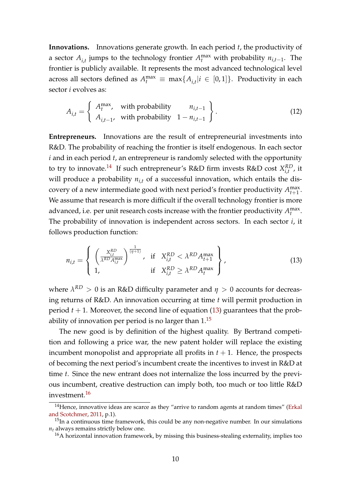**Innovations.** Innovations generate growth. In each period *t*, the productivity of a sector  $A_{i,t}$  jumps to the technology frontier  $A_t^{\max}$  with probability  $n_{i,t-1}$ . The frontier is publicly available. It represents the most advanced technological level across all sectors defined as  $A_t^{\max} \equiv \max\{A_{i,t}|i \in [0,1]\}$ . Productivity in each sector *i* evolves as:

$$
A_{i,t} = \begin{cases} A_t^{\max}, & \text{with probability} \\ A_{i,t-1}, & \text{with probability} \end{cases} \begin{cases} n_{i,t-1} \\ 1 - n_{i,t-1} \end{cases} \tag{12}
$$

**Entrepreneurs.** Innovations are the result of entrepreneurial investments into R&D. The probability of reaching the frontier is itself endogenous. In each sector *i* and in each period *t*, an entrepreneur is randomly selected with the opportunity to try to innovate.<sup>14</sup> If such entrepreneur's R&D firm invests R&D cost  $X_{i,t}^{RD}$  $_{i,t}^{KL}$ , it will produce a probability  $n_{i,t}$  of a successful innovation, which entails the discovery of a new intermediate good with next period's frontier productivity  $A_{t+1}^{\max}$ . We assume that research is more difficult if the overall technology frontier is more advanced, i.e. per unit research costs increase with the frontier productivity  $A_t^{\max}$ . The probability of innovation is independent across sectors. In each sector *i*, it follows production function:

$$
n_{i,t} = \left\{ \begin{array}{l} \left(\frac{X_{i,t}^{RD}}{\lambda^{RD} A_{i,t}^{\max}}\right)^{\frac{1}{(\eta+1)}}, & \text{if } X_{i,t}^{RD} < \lambda^{RD} A_{t+1}^{\max} \\ 1, & \text{if } X_{i,t}^{RD} \geq \lambda^{RD} A_{t}^{\max} \end{array} \right\},
$$
(13)

where  $\lambda^{RD} > 0$  is an R&D difficulty parameter and  $\eta > 0$  accounts for decreasing returns of R&D. An innovation occurring at time *t* will permit production in period  $t + 1$ . Moreover, the second line of equation (13) guarantees that the probability of innovation per period is no larger than  $1<sup>15</sup>$ 

The new good is by definition of the highest quality. By Bertrand competition and following a price war, the new patent holder will replace the existing incumbent monopolist and appropriate all profits in  $t + 1$ . Hence, the prospects of becoming the next period's incumbent create the incentives to invest in R&D at time *t*. Since the new entrant does not internalize the loss incurred by the previous incumbent, creative destruction can imply both, too much or too little R&D investment.<sup>16</sup>

 $14$ Hence, innovative ideas are scarce as they "arrive to random agents at random times" (Erkal and Scotchmer, 2011, p.1).

 $15$ In a continuous time framework, this could be any non-negative number. In our simulations  $n_t$  always remains strictly below one.

 $16A$  horizontal innovation framework, by missing this business-stealing externality, implies too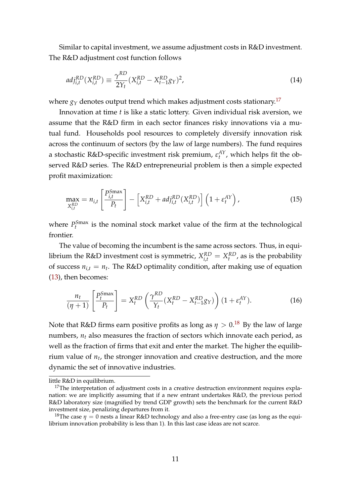Similar to capital investment, we assume adjustment costs in R&D investment. The R&D adjustment cost function follows

$$
adj_{i,t}^{RD}(X_{i,t}^{RD}) \equiv \frac{\gamma^{RD}}{2Y_t}(X_{i,t}^{RD} - X_{t-1}^{RD}g_Y)^2,
$$
\n(14)

where  $g_Y$  denotes output trend which makes adjustment costs stationary.<sup>17</sup>

Innovation at time *t* is like a static lottery. Given individual risk aversion, we assume that the R&D firm in each sector finances risky innovations via a mutual fund. Households pool resources to completely diversify innovation risk across the continuum of sectors (by the law of large numbers). The fund requires a stochastic R&D-specific investment risk premium,  $\varepsilon_t^{AY}$ , which helps fit the observed R&D series. The R&D entrepreneurial problem is then a simple expected profit maximization:

$$
\max_{X_{i,t}^{RD}} = n_{i,t} \left[ \frac{P_{i,t}^{Smax}}{P_t} \right] - \left[ X_{i,t}^{RD} + adj_{i,t}^{RD}(X_{i,t}^{RD}) \right] \left( 1 + \varepsilon_t^{AY} \right), \tag{15}
$$

where  $P_t^{\text{Smax}}$  is the nominal stock market value of the firm at the technological frontier.

The value of becoming the incumbent is the same across sectors. Thus, in equilibrium the R&D investment cost is symmetric,  $X_{i,t}^{RD} = X_{t}^{RD}$ , as is the probability of success  $n_{i,t} = n_t$ . The R&D optimality condition, after making use of equation (13), then becomes:

$$
\frac{n_t}{(\eta+1)} \left[ \frac{P_t^{Smax}}{P_t} \right] = X_t^{RD} \left( \frac{\gamma^{RD}}{Y_t} (X_t^{RD} - X_{t-1}^{RD} g_Y) \right) (1 + \varepsilon_t^{AY}). \tag{16}
$$

Note that R&D firms earn positive profits as long as  $\eta > 0.18$  By the law of large numbers,  $n_t$  also measures the fraction of sectors which innovate each period, as well as the fraction of firms that exit and enter the market. The higher the equilibrium value of *n<sup>t</sup>* , the stronger innovation and creative destruction, and the more dynamic the set of innovative industries.

little R&D in equilibrium.

 $17$ The interpretation of adjustment costs in a creative destruction environment requires explanation: we are implicitly assuming that if a new entrant undertakes R&D, the previous period R&D laboratory size (magnified by trend GDP growth) sets the benchmark for the current R&D investment size, penalizing departures from it.

<sup>&</sup>lt;sup>18</sup>The case  $\eta = 0$  nests a linear R&D technology and also a free-entry case (as long as the equilibrium innovation probability is less than 1). In this last case ideas are not scarce.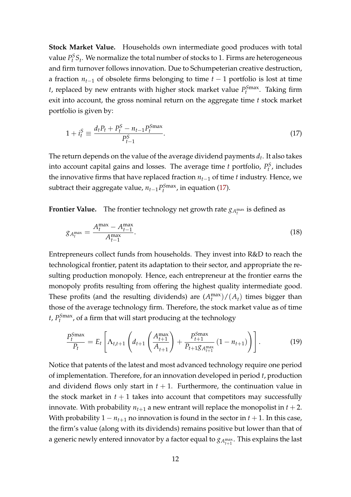**Stock Market Value.** Households own intermediate good produces with total value  $P_t^S S_t$ . We normalize the total number of stocks to 1. Firms are heterogeneous and firm turnover follows innovation. Due to Schumpeterian creative destruction, a fraction *nt*−<sup>1</sup> of obsolete firms belonging to time *t* − 1 portfolio is lost at time *t*, replaced by new entrants with higher stock market value  $P_t^{Smax}$ . Taking firm exit into account, the gross nominal return on the aggregate time *t* stock market portfolio is given by:

$$
1 + i_t^S \equiv \frac{d_t P_t + P_t^S - n_{t-1} P_t^{Smax}}{P_{t-1}^S}.
$$
\n(17)

The return depends on the value of the average dividend payments *d<sup>t</sup>* . It also takes into account capital gains and losses. The average time  $t$  portfolio,  $P_t^S$ , includes the innovative firms that have replaced fraction *nt*−<sup>1</sup> of time *t* industry. Hence, we subtract their aggregate value,  $n_{t-1}P_t^{\text{Smax}}$ , in equation (17).

**Frontier Value.** The frontier technology net growth rate  $g_{A_t^{\max}}$  is defined as

$$
g_{A_t^{\max}} = \frac{A_t^{\max} - A_{t-1}^{\max}}{A_{t-1}^{\max}}.
$$
\n(18)

Entrepreneurs collect funds from households. They invest into R&D to reach the technological frontier, patent its adaptation to their sector, and appropriate the resulting production monopoly. Hence, each entrepreneur at the frontier earns the monopoly profits resulting from offering the highest quality intermediate good. These profits (and the resulting dividends) are  $(A_t^{\max})/(A_t)$  times bigger than those of the average technology firm. Therefore, the stock market value as of time *t*, *P S*max *t* , of a firm that will start producing at the technology

$$
\frac{P_t^{\text{Smax}}}{P_t} = E_t \left[ \Lambda_{t,t+1} \left( d_{t+1} \left( \frac{A_{t+1}^{\text{max}}}{A_{t+1}} \right) + \frac{P_{t+1}^{\text{Smax}}}{P_{t+1} g_{A_{t+1}^{\text{max}}}} \left( 1 - n_{t+1} \right) \right) \right]. \tag{19}
$$

Notice that patents of the latest and most advanced technology require one period of implementation. Therefore, for an innovation developed in period *t*, production and dividend flows only start in  $t + 1$ . Furthermore, the continuation value in the stock market in  $t + 1$  takes into account that competitors may successfully innovate. With probability  $n_{t+1}$  a new entrant will replace the monopolist in  $t + 2$ . With probability  $1 - n_{t+1}$  no innovation is found in the sector in  $t + 1$ . In this case, the firm's value (along with its dividends) remains positive but lower than that of a generic newly entered innovator by a factor equal to  $g_{A_{t+1}^{\text{max}}}$ . This explains the last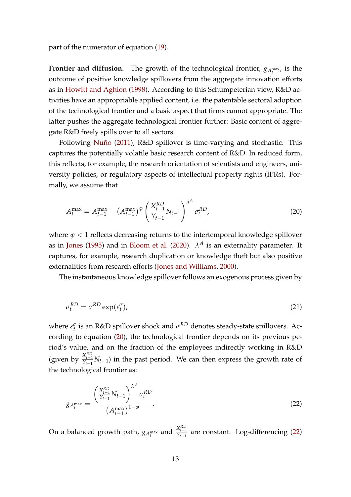part of the numerator of equation (19).

**Frontier and diffusion.** The growth of the technological frontier,  $g_{A_t^{\max}}$ , is the outcome of positive knowledge spillovers from the aggregate innovation efforts as in Howitt and Aghion (1998). According to this Schumpeterian view, R&D activities have an appropriable applied content, i.e. the patentable sectoral adoption of the technological frontier and a basic aspect that firms cannot appropriate. The latter pushes the aggregate technological frontier further: Basic content of aggregate R&D freely spills over to all sectors.

Following Nuño (2011), R&D spillover is time-varying and stochastic. This captures the potentially volatile basic research content of R&D. In reduced form, this reflects, for example, the research orientation of scientists and engineers, university policies, or regulatory aspects of intellectual property rights (IPRs). Formally, we assume that

$$
A_t^{\max} = A_{t-1}^{\max} + \left(A_{t-1}^{\max}\right)^{\varphi} \left(\frac{X_{t-1}^{RD}}{Y_{t-1}} N_{t-1}\right)^{\lambda^A} \sigma_t^{RD},\tag{20}
$$

where *ϕ* < 1 reflects decreasing returns to the intertemporal knowledge spillover as in Jones (1995) and in Bloom et al. (2020).  $\lambda^A$  is an externality parameter. It captures, for example, research duplication or knowledge theft but also positive externalities from research efforts (Jones and Williams, 2000).

The instantaneous knowledge spillover follows an exogenous process given by

$$
\sigma_t^{RD} = \sigma^{RD} \exp(\varepsilon_t^{\sigma}),\tag{21}
$$

where  $\varepsilon_t^{\sigma}$  is an R&D spillover shock and  $\sigma^{RD}$  denotes steady-state spillovers. According to equation (20), the technological frontier depends on its previous period's value, and on the fraction of the employees indirectly working in R&D (given by  $\frac{X_{t-1}^{RD}}{Y_{t-1}} N_{t-1}$ ) in the past period. We can then express the growth rate of the technological frontier as:

$$
g_{A_t^{\max}} = \frac{\left(\frac{X_{t-1}^{RD}}{Y_{t-1}} N_{t-1}\right)^{\lambda^A} \sigma_t^{RD}}{\left(A_{t-1}^{\max}\right)^{1-\varphi}}.
$$
\n(22)

On a balanced growth path,  $g_{A_t^{max}}$  and  $\frac{X_{t-1}^{RD}}{Y_{t-1}}$  are constant. Log-differencing (22)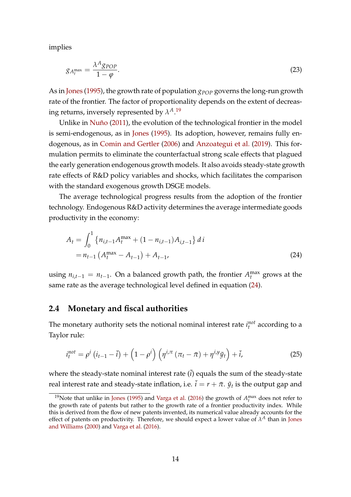implies

$$
g_{A_t^{\max}} = \frac{\lambda^A g_{POP}}{1 - \varphi}.
$$
\n(23)

As in Jones (1995), the growth rate of population  $g_{POP}$  governs the long-run growth rate of the frontier. The factor of proportionality depends on the extent of decreasing returns, inversely represented by  $\lambda^{A}$ .<sup>19</sup>

Unlike in Nuño (2011), the evolution of the technological frontier in the model is semi-endogenous, as in Jones (1995). Its adoption, however, remains fully endogenous, as in Comin and Gertler (2006) and Anzoategui et al. (2019). This formulation permits to eliminate the counterfactual strong scale effects that plagued the early generation endogenous growth models. It also avoids steady-state growth rate effects of R&D policy variables and shocks, which facilitates the comparison with the standard exogenous growth DSGE models.

The average technological progress results from the adoption of the frontier technology. Endogenous R&D activity determines the average intermediate goods productivity in the economy:

$$
A_{t} = \int_{0}^{1} \left\{ n_{i,t-1} A_{t}^{\max} + (1 - n_{i,t-1}) A_{i,t-1} \right\} di
$$
  
=  $n_{t-1} \left( A_{t}^{\max} - A_{t-1} \right) + A_{t-1}$ , (24)

using  $n_{i,t-1} = n_{t-1}$ . On a balanced growth path, the frontier  $A_t^{\max}$  grows at the same rate as the average technological level defined in equation (24).

#### **2.4 Monetary and fiscal authorities**

The monetary authority sets the notional nominal interest rate  $i_t^{not}$  according to a Taylor rule:

$$
i_t^{not} = \rho^i \left( i_{t-1} - \overline{i} \right) + \left( 1 - \rho^i \right) \left( \eta^{i, \pi} \left( \pi_t - \overline{\pi} \right) + \eta^{i, y} \tilde{y}_t \right) + \overline{i}, \tag{25}
$$

where the steady-state nominal interest rate  $(\overline{i})$  equals the sum of the steady-state real interest rate and steady-state inflation, i.e.  $\bar{i} = r + \bar{\pi}$ .  $\tilde{y}_t$  is the output gap and

<sup>&</sup>lt;sup>19</sup>Note that unlike in Jones (1995) and Varga et al. (2016) the growth of  $A_t^{\text{max}}$  does not refer to the growth rate of patents but rather to the growth rate of a frontier productivity index. While this is derived from the flow of new patents invented, its numerical value already accounts for the effect of patents on productivity. Therefore, we should expect a lower value of  $\lambda^A$  than in Jones and Williams (2000) and Varga et al. (2016).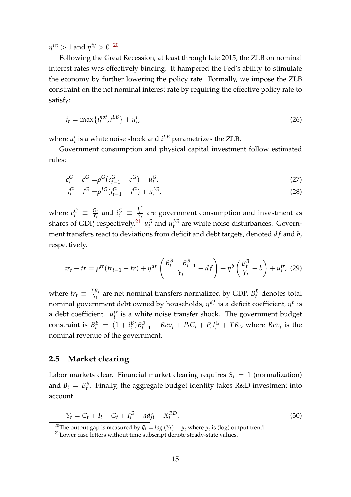$\eta^{i\pi} > 1$  and  $\eta^{i y} > 0$ . <sup>20</sup>

Following the Great Recession, at least through late 2015, the ZLB on nominal interest rates was effectively binding. It hampered the Fed's ability to stimulate the economy by further lowering the policy rate. Formally, we impose the ZLB constraint on the net nominal interest rate by requiring the effective policy rate to satisfy:

$$
i_t = \max\{i_t^{not}, i^{LB}\} + u_t^i,
$$
\n<sup>(26)</sup>

where  $u_t^i$  is a white noise shock and  $i^{LB}$  parametrizes the ZLB.

Government consumption and physical capital investment follow estimated rules:

$$
c_t^G - c^G = \rho^G (c_{t-1}^G - c^G) + u_t^G, \tag{27}
$$

$$
i_t^G - i^G = \rho^{IG}(i_{t-1}^G - i^G) + u_t^{IG},\tag{28}
$$

where  $c_t^G \equiv \frac{G_t}{Y_t}$  $\frac{G_t}{Y_t}$  and  $i_t^G \equiv \frac{I_t^G}{Y_t}$  are government consumption and investment as shares of GDP, respectively.<sup>21</sup>  $u_t^G$  and  $u_t^{IG}$  are white noise disturbances. Government transfers react to deviations from deficit and debt targets, denoted *df* and *b*, respectively.

$$
tr_t - tr = \rho^{tr}(tr_{t-1} - tr) + \eta^{df} \left( \frac{B_t^B - B_{t-1}^B}{Y_t} - df \right) + \eta^b \left( \frac{B_t^B}{Y_t} - b \right) + u_t^{tr},
$$
 (29)

where  $tr_t \equiv \frac{TR_t}{Y_t}$  $\frac{Y_{R_t}}{Y_t}$  are net nominal transfers normalized by GDP.  $B_t^B$  denotes total nominal government debt owned by households,  $η^{df}$  is a deficit coefficient,  $η^{b}$  is a debt coefficient.  $u_t^{tr}$  is a white noise transfer shock. The government budget constraint is  $B_t^B = (1 + i_t^B)B_{t-1}^B - Rev_t + P_tG_t + P_tI_t^G + TR_t$ , where  $Rev_t$  is the nominal revenue of the government.

### **2.5 Market clearing**

Labor markets clear. Financial market clearing requires  $S_t = 1$  (normalization) and  $B_t = B_t^B$ . Finally, the aggregate budget identity takes R&D investment into account

$$
Y_t = C_t + I_t + G_t + I_t^G + adj_t + X_t^{RD}.
$$
\n(30)

<sup>&</sup>lt;sup>20</sup>The output gap is measured by  $\tilde{y}_t = log(Y_t) - \overline{y}_t$  where  $\overline{y}_t$  is (log) output trend.

<sup>&</sup>lt;sup>21</sup> Lower case letters without time subscript denote steady-state values.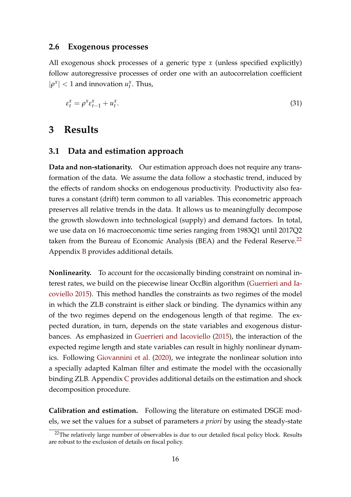#### **2.6 Exogenous processes**

All exogenous shock processes of a generic type *x* (unless specified explicitly) follow autoregressive processes of order one with an autocorrelation coefficient  $|\rho^x|$  < 1 and innovation  $u_t^x$ . Thus,

$$
\varepsilon_t^x = \rho^x \varepsilon_{t-1}^x + u_t^x. \tag{31}
$$

### **3 Results**

#### **3.1 Data and estimation approach**

**Data and non-stationarity.** Our estimation approach does not require any transformation of the data. We assume the data follow a stochastic trend, induced by the effects of random shocks on endogenous productivity. Productivity also features a constant (drift) term common to all variables. This econometric approach preserves all relative trends in the data. It allows us to meaningfully decompose the growth slowdown into technological (supply) and demand factors. In total, we use data on 16 macroeconomic time series ranging from 1983Q1 until 2017Q2 taken from the Bureau of Economic Analysis (BEA) and the Federal Reserve.<sup>22</sup> Appendix B provides additional details.

**Nonlinearity.** To account for the occasionally binding constraint on nominal interest rates, we build on the piecewise linear OccBin algorithm (Guerrieri and Iacoviello 2015). This method handles the constraints as two regimes of the model in which the ZLB constraint is either slack or binding. The dynamics within any of the two regimes depend on the endogenous length of that regime. The expected duration, in turn, depends on the state variables and exogenous disturbances. As emphasized in Guerrieri and Iacoviello (2015), the interaction of the expected regime length and state variables can result in highly nonlinear dynamics. Following Giovannini et al. (2020), we integrate the nonlinear solution into a specially adapted Kalman filter and estimate the model with the occasionally binding ZLB. Appendix C provides additional details on the estimation and shock decomposition procedure.

**Calibration and estimation.** Following the literature on estimated DSGE models, we set the values for a subset of parameters *a priori* by using the steady-state

<sup>&</sup>lt;sup>22</sup>The relatively large number of observables is due to our detailed fiscal policy block. Results are robust to the exclusion of details on fiscal policy.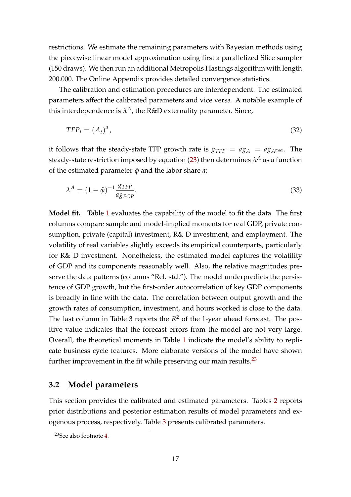restrictions. We estimate the remaining parameters with Bayesian methods using the piecewise linear model approximation using first a parallelized Slice sampler (150 draws). We then run an additional Metropolis Hastings algorithm with length 200.000. The Online Appendix provides detailed convergence statistics.

The calibration and estimation procedures are interdependent. The estimated parameters affect the calibrated parameters and vice versa. A notable example of this interdependence is  $\lambda^A$ , the R&D externality parameter. Since,

$$
TFP_t = (A_t)^a, \tag{32}
$$

it follows that the steady-state TFP growth rate is  $g_{TFP} = ag_A = ag_{A^{max}}$ . The steady-state restriction imposed by equation (23) then determines  $\lambda^A$  as a function of the estimated parameter *ϕ*ˆ and the labor share *a*:

$$
\lambda^A = (1 - \hat{\varphi})^{-1} \frac{\mathcal{S} \text{TFP}}{a \mathcal{S} \text{POP}}.
$$
\n(33)

**Model fit.** Table 1 evaluates the capability of the model to fit the data. The first columns compare sample and model-implied moments for real GDP, private consumption, private (capital) investment, R& D investment, and employment. The volatility of real variables slightly exceeds its empirical counterparts, particularly for R& D investment. Nonetheless, the estimated model captures the volatility of GDP and its components reasonably well. Also, the relative magnitudes preserve the data patterns (columns "Rel. std."). The model underpredicts the persistence of GDP growth, but the first-order autocorrelation of key GDP components is broadly in line with the data. The correlation between output growth and the growth rates of consumption, investment, and hours worked is close to the data. The last column in Table 3 reports the  $R^2$  of the 1-year ahead forecast. The positive value indicates that the forecast errors from the model are not very large. Overall, the theoretical moments in Table 1 indicate the model's ability to replicate business cycle features. More elaborate versions of the model have shown further improvement in the fit while preserving our main results.<sup>23</sup>

### **3.2 Model parameters**

This section provides the calibrated and estimated parameters. Tables 2 reports prior distributions and posterior estimation results of model parameters and exogenous process, respectively. Table 3 presents calibrated parameters.

<sup>23</sup>See also footnote 4.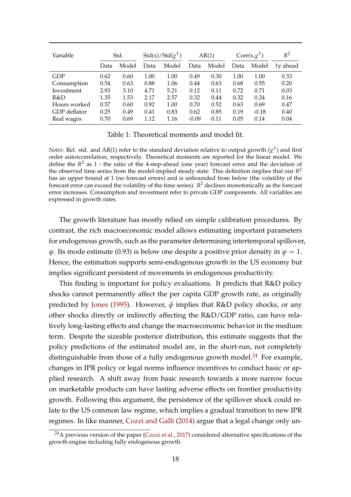| Variable     |      | Std.  | $Std(x)/Std(g^Y)$ |       | AR(1)   |       | $Corr(x,g^Y)$ |         | $R^2$    |
|--------------|------|-------|-------------------|-------|---------|-------|---------------|---------|----------|
|              | Data | Model | Data              | Model | Data    | Model | Data          | Model   | 1y ahead |
| GDP          | 0.62 | 0.60  | 1.00              | 1.00  | 0.49    | 0.30  | 1.00          | 1.00    | 0.33     |
| Consumption  | 0.54 | 0.63  | 0.88              | 1.06  | 0.44    | 0.63  | 0.68          | 0.55    | 0.20     |
| Investment   | 2.93 | 3.10  | 4.71              | 5.21  | 0.12    | 0.11  | 0.72          | 0.71    | 0.03     |
| R&D          | 1.35 | 1.53  | 2.17              | 2.57  | 0.32    | 0.44  | 0.32          | 0.24    | 0.16     |
| Hours worked | 0.57 | 0.60  | 0.92              | 1.00  | 0.70    | 0.52  | 0.63          | 0.69    | 0.47     |
| GDP deflator | 0.25 | 0.49  | 0.41              | 0.83  | 0.62    | 0.85  | 0.19          | $-0.18$ | 0.40     |
| Real wages   | 0.70 | 0.69  | 1.12              | 1.16  | $-0.09$ | 0.11  | 0.05          | 0.14    | 0.04     |

Table 1: Theoretical moments and model fit.

*Notes:* Rel. std. and AR(1) refer to the standard deviation relative to output growth (*g <sup>Y</sup>*) and first order autorcorrelation, respectively. Theoretical moments are reported for the linear model. We define the  $R^2$  as 1 - the ratio of the 4-step-ahead (one year) forecast error and the deviation of the observed time series from the model-implied steady state. This definition implies that our *R* 2 has an upper bound at 1 (no forecast errors) and is unbounded from below (the volatility of the forecast error can exceed the volatility of the time series). *R* <sup>2</sup> declines monotonically as the forecast error increases. Consumption and investment refer to private GDP components. All variables are expressed in growth rates.

The growth literature has mostly relied on simple calibration procedures. By contrast, the rich macroeconomic model allows estimating important parameters for endogenous growth, such as the parameter determining intertemporal spillover,  $φ$ . Its mode estimate (0.93) is below one despite a positive prior density in  $φ = 1$ . Hence, the estimation supports semi-endogenous growth in the US economy but implies significant persistent of movements in endogenous productivity.

This finding is important for policy evaluations. It predicts that R&D policy shocks cannot permanently affect the per capita GDP growth rate, as originally predicted by Jones (1995). However, *ϕ*ˆ implies that R&D policy shocks, or any other shocks directly or indirectly affecting the R&D/GDP ratio, can have relatively long-lasting effects and change the macroeconomic behavior in the medium term. Despite the sizeable posterior distribution, this estimate suggests that the policy predictions of the estimated model are, in the short-run, not completely distinguishable from those of a fully endogenous growth model. $^{24}$  For example, changes in IPR policy or legal norms influence incentives to conduct basic or applied research. A shift away from basic research towards a more narrow focus on marketable products can have lasting adverse effects on frontier productivity growth. Following this argument, the persistence of the spillover shock could relate to the US common law regime, which implies a gradual transition to new IPR regimes. In like manner, Cozzi and Galli (2014) argue that a legal change only un-

<sup>&</sup>lt;sup>24</sup>A previous version of the paper (Cozzi et al., 2017) considered alternative specifications of the growth engine including fully endogenous growth.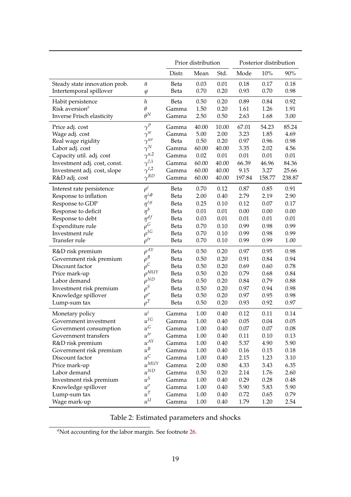|                               |                      | Prior distribution |       |       | Posterior distribution |        |        |
|-------------------------------|----------------------|--------------------|-------|-------|------------------------|--------|--------|
|                               |                      | Distr.             | Mean  | Std.  | Mode                   | 10%    | 90%    |
| Steady state innovation prob. | ñ                    | Beta               | 0.03  | 0.01  | 0.18                   | 0.17   | 0.18   |
| Intertemporal spillover       | $\varphi$            | Beta               | 0.70  | 0.20  | 0.93                   | 0.70   | 0.98   |
| Habit persistence             | $\boldsymbol{h}$     | Beta               | 0.50  | 0.20  | 0.89                   | 0.84   | 0.92   |
| Risk aversion <sup>a</sup>    | $\theta$             | Gamma              | 1.50  | 0.20  | 1.61                   | 1.26   | 1.91   |
| Inverse Frisch elasticity     | $\theta^N$           | Gamma              | 2.50  | 0.50  | 2.63                   | 1.68   | 3.00   |
| Price adj. cost               | $\gamma^P$           | Gamma              | 40.00 | 10.00 | 67.01                  | 54.23  | 85.24  |
| Wage adj. cost                | $\gamma^w$           | Gamma              | 5.00  | 2.00  | 3.23                   | 1.85   | 4.69   |
| Real wage rigidity            | $\gamma^{wr}$        | Beta               | 0.50  | 0.20  | 0.97                   | 0.96   | 0.98   |
| Labor adj. cost               | $\gamma^N$           | Gamma              | 60.00 | 40.00 | 3.35                   | 2.02   | 4.56   |
| Capacity util. adj. cost      | $\gamma^{u,2}$       | Gamma              | 0.02  | 0.01  | 0.01                   | 0.01   | 0.01   |
| Investment adj. cost, const.  | $\gamma^{I,1}$       | Gamma              | 60.00 | 40.00 | 66.39                  | 46.96  | 84.36  |
| Investment adj. cost, slope   | $\gamma^{I,2}$       | Gamma              | 60.00 | 40.00 | 9.15                   | 3.27   | 25.66  |
| R&D adj. cost                 | $\gamma^{RD}$        | Gamma              | 60.00 | 40.00 | 197.84                 | 158.77 | 238.87 |
| Interest rate persistence     | $\rho^i$             | Beta               | 0.70  | 0.12  | 0.87                   | 0.85   | 0.91   |
| Response to inflation         | $\eta^{i,\phi}$      | Beta               | 2.00  | 0.40  | 2.79                   | 2.19   | 2.90   |
| Response to GDP               | $\eta^{i,y}$         | Beta               | 0.25  | 0.10  | 0.12                   | 0.07   | 0.17   |
| Response to deficit           | $\eta^b$             | Beta               | 0.01  | 0.01  | 0.00                   | 0.00   | 0.00   |
| Response to debt              | $\eta^{df}$          | Beta               | 0.03  | 0.01  | 0.01                   | 0.01   | 0.01   |
| Expenditure rule              | $\rho$ <sup>G</sup>  | Beta               | 0.70  | 0.10  | 0.99                   | 0.98   | 0.99   |
| Investment rule               | $\rho^{IG}$          | Beta               | 0.70  | 0.10  | 0.99                   | 0.98   | 0.99   |
| Transfer rule                 | $\rho^{tr}$          | Beta               | 0.70  | 0.10  | 0.99                   | 0.99   | 1.00   |
| R&D risk premium              | $\rho^{AY}$          | Beta               | 0.50  | 0.20  | 0.97                   | 0.95   | 0.98   |
| Government risk premium       | $\rho^B$             | Beta               | 0.50  | 0.20  | 0.91                   | 0.84   | 0.94   |
| Discount factor               | $\rho^{\mathcal{C}}$ | Beta               | 0.50  | 0.20  | 0.69                   | 0.60   | 0.78   |
| Price mark-up                 | $\rho^{MUY}$         | Beta               | 0.50  | 0.20  | 0.79                   | 0.68   | 0.84   |
| Labor demand                  | $\rho^{ND}$          | Beta               | 0.50  | 0.20  | 0.84                   | 0.79   | 0.88   |
| Investment risk premium       | $\rho^S$             | Beta               | 0.50  | 0.20  | 0.97                   | 0.94   | 0.98   |
| Knowledge spillover           | $\rho^\sigma$        | Beta               | 0.50  | 0.20  | 0.97                   | 0.95   | 0.98   |
| Lump-sum tax                  | $\rho^T$             | Beta               | 0.50  | 0.20  | 0.93                   | 0.92   | 0.97   |
| Monetary policy               | $u^i$                | Gamma              | 1.00  | 0.40  | 0.12                   | 0.11   | 0.14   |
| Government investment         | $u^{IG}$             | Gamma              | 1.00  | 0.40  | 0.05                   | 0.04   | 0.05   |
| Government consumption        | $u^G$                | Gamma              | 1.00  | 0.40  | 0.07                   | 0.07   | 0.08   |
| Government transfers          | $u^{tr}$             | Gamma              | 1.00  | 0.40  | 0.11                   | 0.10   | 0.13   |
| R&D risk premium              | $u^{AY}$             | Gamma              | 1.00  | 0.40  | 5.37                   | 4.90   | 5.90   |
| Government risk premium       | $u^B$                | Gamma              | 1.00  | 0.40  | 0.16                   | 0.15   | 0.18   |
| Discount factor               | $u^C$                | Gamma              | 1.00  | 0.40  | 2.15                   | 1.23   | 3.10   |
| Price mark-up                 | $u^{MUY}$            | Gamma              | 2.00  | 0.80  | 4.33                   | 3.43   | 6.35   |
| $u^{ND}$<br>Labor demand      |                      | Gamma              | 0.50  | 0.20  | 2.14                   | 1.76   | 2.60   |
| Investment risk premium       | $u^S$                | Gamma              | 1.00  | 0.40  | 0.29                   | 0.28   | 0.48   |
| Knowledge spillover           | $u^\sigma$           | Gamma              | 1.00  | 0.40  | 5.90                   | 5.83   | 5.90   |
| Lump-sum tax                  | $u^T$                | Gamma              | 1.00  | 0.40  | 0.72                   | 0.65   | 0.79   |
| Wage mark-up                  | $u^U$                | Gamma              | 1.00  | 0.40  | 1.79                   | 1.20   | 2.54   |

Table 2: Estimated parameters and shocks

<sup>&</sup>lt;sup>*a*</sup>Not accounting for the labor margin. See footnote 26.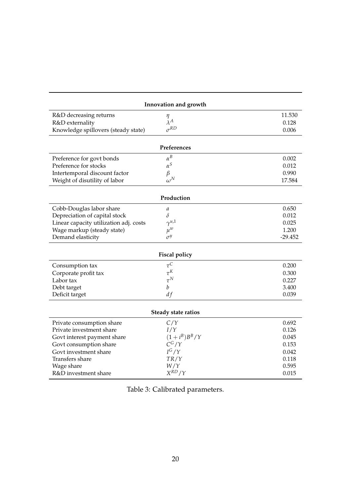| Innovation and growth                  |                  |           |  |  |  |  |
|----------------------------------------|------------------|-----------|--|--|--|--|
| R&D decreasing returns                 | $\eta$           | 11.530    |  |  |  |  |
| R&D externality                        | $\lambda^A$      | 0.128     |  |  |  |  |
| Knowledge spillovers (steady state)    | $\sigma^{RD}$    | 0.006     |  |  |  |  |
| Preferences                            |                  |           |  |  |  |  |
| Preference for govt bonds              | $\alpha^B$       | 0.002     |  |  |  |  |
| Preference for stocks                  | $\alpha^S$       | 0.012     |  |  |  |  |
| Intertemporal discount factor          | $\beta$          | 0.990     |  |  |  |  |
| Weight of disutility of labor          | $\omega^N$       | 17.584    |  |  |  |  |
| Production                             |                  |           |  |  |  |  |
| Cobb-Douglas labor share               | а                | 0.650     |  |  |  |  |
| Depreciation of capital stock          | $\delta$         | 0.012     |  |  |  |  |
| Linear capacity utilization adj. costs | $\gamma^{u,1}$   | 0.025     |  |  |  |  |
| Wage markup (steady state)             | $\mu^w$          | 1.200     |  |  |  |  |
| Demand elasticity                      | $\sigma^{y}$     | $-29.452$ |  |  |  |  |
| <b>Fiscal policy</b>                   |                  |           |  |  |  |  |
| Consumption tax                        | $\tau^C$         | 0.200     |  |  |  |  |
| Corporate profit tax                   | $\tau^K$         | 0.300     |  |  |  |  |
| Labor tax                              | $\tau^N$         | 0.227     |  |  |  |  |
| Debt target                            | $\boldsymbol{b}$ | 3.400     |  |  |  |  |
| Deficit target                         | df               | 0.039     |  |  |  |  |
| Steady state ratios                    |                  |           |  |  |  |  |
| Private consumption share              | C/Y              | 0.692     |  |  |  |  |
| Private investment share               | I/Y              | 0.126     |  |  |  |  |
| Govt interest payment share            | $(1+i^B)B^B/Y$   | 0.045     |  |  |  |  |
| Govt consumption share                 | $C^G/Y$          | 0.153     |  |  |  |  |
| Govt investment share                  | $I^G/Y$          | 0.042     |  |  |  |  |
| Transfers share                        | TR/Y             | 0.118     |  |  |  |  |
| Wage share                             | W/Y              | 0.595     |  |  |  |  |
| R&D investment share                   | $X^{RD}/Y$       | 0.015     |  |  |  |  |

Table 3: Calibrated parameters.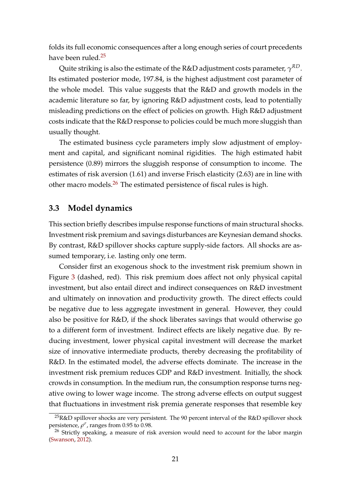folds its full economic consequences after a long enough series of court precedents have been ruled.<sup>25</sup>

Quite striking is also the estimate of the R&D adjustment costs parameter, *γ RD*. Its estimated posterior mode, 197.84, is the highest adjustment cost parameter of the whole model. This value suggests that the R&D and growth models in the academic literature so far, by ignoring R&D adjustment costs, lead to potentially misleading predictions on the effect of policies on growth. High R&D adjustment costs indicate that the R&D response to policies could be much more sluggish than usually thought.

The estimated business cycle parameters imply slow adjustment of employment and capital, and significant nominal rigidities. The high estimated habit persistence (0.89) mirrors the sluggish response of consumption to income. The estimates of risk aversion (1.61) and inverse Frisch elasticity (2.63) are in line with other macro models.<sup>26</sup> The estimated persistence of fiscal rules is high.

### **3.3 Model dynamics**

This section briefly describes impulse response functions of main structural shocks. Investment risk premium and savings disturbances are Keynesian demand shocks. By contrast, R&D spillover shocks capture supply-side factors. All shocks are assumed temporary, i.e. lasting only one term.

Consider first an exogenous shock to the investment risk premium shown in Figure 3 (dashed, red). This risk premium does affect not only physical capital investment, but also entail direct and indirect consequences on R&D investment and ultimately on innovation and productivity growth. The direct effects could be negative due to less aggregate investment in general. However, they could also be positive for R&D, if the shock liberates savings that would otherwise go to a different form of investment. Indirect effects are likely negative due. By reducing investment, lower physical capital investment will decrease the market size of innovative intermediate products, thereby decreasing the profitability of R&D. In the estimated model, the adverse effects dominate. The increase in the investment risk premium reduces GDP and R&D investment. Initially, the shock crowds in consumption. In the medium run, the consumption response turns negative owing to lower wage income. The strong adverse effects on output suggest that fluctuations in investment risk premia generate responses that resemble key

<sup>&</sup>lt;sup>25</sup>R&D spillover shocks are very persistent. The 90 percent interval of the R&D spillover shock persistence,  $\rho^{\sigma}$ , ranges from 0.95 to 0.98.

<sup>&</sup>lt;sup>26</sup> Strictly speaking, a measure of risk aversion would need to account for the labor margin (Swanson, 2012).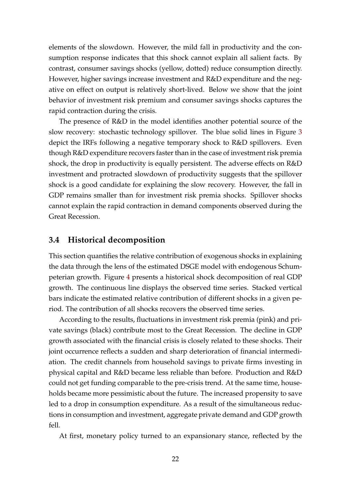elements of the slowdown. However, the mild fall in productivity and the consumption response indicates that this shock cannot explain all salient facts. By contrast, consumer savings shocks (yellow, dotted) reduce consumption directly. However, higher savings increase investment and R&D expenditure and the negative on effect on output is relatively short-lived. Below we show that the joint behavior of investment risk premium and consumer savings shocks captures the rapid contraction during the crisis.

The presence of R&D in the model identifies another potential source of the slow recovery: stochastic technology spillover. The blue solid lines in Figure 3 depict the IRFs following a negative temporary shock to R&D spillovers. Even though R&D expenditure recovers faster than in the case of investment risk premia shock, the drop in productivity is equally persistent. The adverse effects on R&D investment and protracted slowdown of productivity suggests that the spillover shock is a good candidate for explaining the slow recovery. However, the fall in GDP remains smaller than for investment risk premia shocks. Spillover shocks cannot explain the rapid contraction in demand components observed during the Great Recession.

### **3.4 Historical decomposition**

This section quantifies the relative contribution of exogenous shocks in explaining the data through the lens of the estimated DSGE model with endogenous Schumpeterian growth. Figure 4 presents a historical shock decomposition of real GDP growth. The continuous line displays the observed time series. Stacked vertical bars indicate the estimated relative contribution of different shocks in a given period. The contribution of all shocks recovers the observed time series.

According to the results, fluctuations in investment risk premia (pink) and private savings (black) contribute most to the Great Recession. The decline in GDP growth associated with the financial crisis is closely related to these shocks. Their joint occurrence reflects a sudden and sharp deterioration of financial intermediation. The credit channels from household savings to private firms investing in physical capital and R&D became less reliable than before. Production and R&D could not get funding comparable to the pre-crisis trend. At the same time, households became more pessimistic about the future. The increased propensity to save led to a drop in consumption expenditure. As a result of the simultaneous reductions in consumption and investment, aggregate private demand and GDP growth fell.

At first, monetary policy turned to an expansionary stance, reflected by the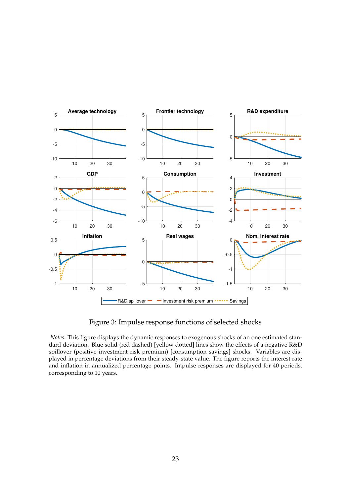

Figure 3: Impulse response functions of selected shocks

*Notes:* This figure displays the dynamic responses to exogenous shocks of an one estimated standard deviation. Blue solid (red dashed) [yellow dotted] lines show the effects of a negative R&D spillover (positive investment risk premium) [consumption savings] shocks. Variables are displayed in percentage deviations from their steady-state value. The figure reports the interest rate and inflation in annualized percentage points. Impulse responses are displayed for 40 periods, corresponding to 10 years.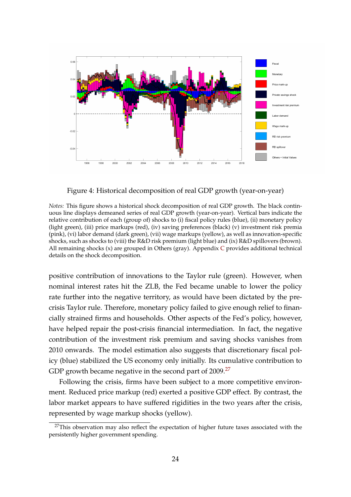

Figure 4: Historical decomposition of real GDP growth (year-on-year)

*Notes:* This figure shows a historical shock decomposition of real GDP growth. The black continuous line displays demeaned series of real GDP growth (year-on-year). Vertical bars indicate the relative contribution of each (group of) shocks to (i) fiscal policy rules (blue), (ii) monetary policy (light green), (iii) price markups (red), (iv) saving preferences (black) (v) investment risk premia (pink), (vi) labor demand (dark green), (vii) wage markups (yellow), as well as innovation-specific shocks, such as shocks to (viii) the R&D risk premium (light blue) and (ix) R&D spillovers (brown). All remaining shocks (x) are grouped in Others (gray). Appendix C provides additional technical details on the shock decomposition.

positive contribution of innovations to the Taylor rule (green). However, when nominal interest rates hit the ZLB, the Fed became unable to lower the policy rate further into the negative territory, as would have been dictated by the precrisis Taylor rule. Therefore, monetary policy failed to give enough relief to financially strained firms and households. Other aspects of the Fed's policy, however, have helped repair the post-crisis financial intermediation. In fact, the negative contribution of the investment risk premium and saving shocks vanishes from 2010 onwards. The model estimation also suggests that discretionary fiscal policy (blue) stabilized the US economy only initially. Its cumulative contribution to GDP growth became negative in the second part of 2009.<sup>27</sup>

Following the crisis, firms have been subject to a more competitive environment. Reduced price markup (red) exerted a positive GDP effect. By contrast, the labor market appears to have suffered rigidities in the two years after the crisis, represented by wage markup shocks (yellow).

<sup>&</sup>lt;sup>27</sup>This observation may also reflect the expectation of higher future taxes associated with the persistently higher government spending.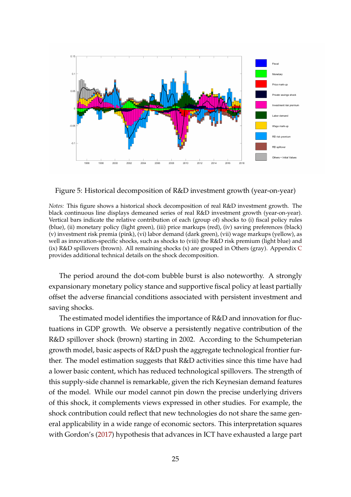

Figure 5: Historical decomposition of R&D investment growth (year-on-year)

*Notes:* This figure shows a historical shock decomposition of real R&D investment growth. The black continuous line displays demeaned series of real R&D investment growth (year-on-year). Vertical bars indicate the relative contribution of each (group of) shocks to (i) fiscal policy rules (blue), (ii) monetary policy (light green), (iii) price markups (red), (iv) saving preferences (black) (v) investment risk premia (pink), (vi) labor demand (dark green), (vii) wage markups (yellow), as well as innovation-specific shocks, such as shocks to (viii) the R&D risk premium (light blue) and (ix) R&D spillovers (brown). All remaining shocks (x) are grouped in Others (gray). Appendix C provides additional technical details on the shock decomposition.

The period around the dot-com bubble burst is also noteworthy. A strongly expansionary monetary policy stance and supportive fiscal policy at least partially offset the adverse financial conditions associated with persistent investment and saving shocks.

The estimated model identifies the importance of R&D and innovation for fluctuations in GDP growth. We observe a persistently negative contribution of the R&D spillover shock (brown) starting in 2002. According to the Schumpeterian growth model, basic aspects of R&D push the aggregate technological frontier further. The model estimation suggests that R&D activities since this time have had a lower basic content, which has reduced technological spillovers. The strength of this supply-side channel is remarkable, given the rich Keynesian demand features of the model. While our model cannot pin down the precise underlying drivers of this shock, it complements views expressed in other studies. For example, the shock contribution could reflect that new technologies do not share the same general applicability in a wide range of economic sectors. This interpretation squares with Gordon's (2017) hypothesis that advances in ICT have exhausted a large part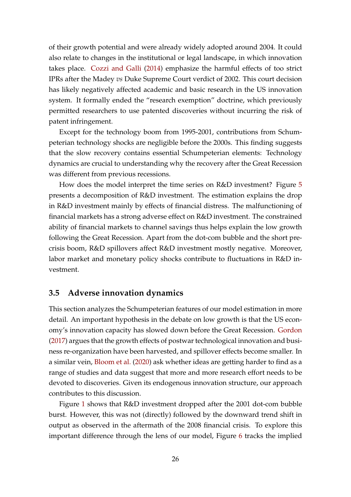of their growth potential and were already widely adopted around 2004. It could also relate to changes in the institutional or legal landscape, in which innovation takes place. Cozzi and Galli (2014) emphasize the harmful effects of too strict IPRs after the Madey *vs* Duke Supreme Court verdict of 2002. This court decision has likely negatively affected academic and basic research in the US innovation system. It formally ended the "research exemption" doctrine, which previously permitted researchers to use patented discoveries without incurring the risk of patent infringement.

Except for the technology boom from 1995-2001, contributions from Schumpeterian technology shocks are negligible before the 2000s. This finding suggests that the slow recovery contains essential Schumpeterian elements: Technology dynamics are crucial to understanding why the recovery after the Great Recession was different from previous recessions.

How does the model interpret the time series on R&D investment? Figure 5 presents a decomposition of R&D investment. The estimation explains the drop in R&D investment mainly by effects of financial distress. The malfunctioning of financial markets has a strong adverse effect on R&D investment. The constrained ability of financial markets to channel savings thus helps explain the low growth following the Great Recession. Apart from the dot-com bubble and the short precrisis boom, R&D spillovers affect R&D investment mostly negative. Moreover, labor market and monetary policy shocks contribute to fluctuations in R&D investment.

#### **3.5 Adverse innovation dynamics**

This section analyzes the Schumpeterian features of our model estimation in more detail. An important hypothesis in the debate on low growth is that the US economy's innovation capacity has slowed down before the Great Recession. Gordon (2017) argues that the growth effects of postwar technological innovation and business re-organization have been harvested, and spillover effects become smaller. In a similar vein, Bloom et al. (2020) ask whether ideas are getting harder to find as a range of studies and data suggest that more and more research effort needs to be devoted to discoveries. Given its endogenous innovation structure, our approach contributes to this discussion.

Figure 1 shows that R&D investment dropped after the 2001 dot-com bubble burst. However, this was not (directly) followed by the downward trend shift in output as observed in the aftermath of the 2008 financial crisis. To explore this important difference through the lens of our model, Figure 6 tracks the implied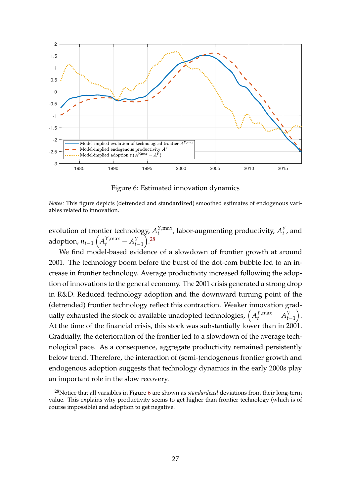

Figure 6: Estimated innovation dynamics

*Notes:* This figure depicts (detrended and standardized) smoothed estimates of endogenous variables related to innovation.

evolution of frontier technology, *A Y*,max  $T_t^{Y, \max}$ , labor-augmenting productivity,  $A_t^Y$ , and adoption,  $n_{t-1} \left( A_t^{Y,\max} - A_{t-1}^Y \right)$  $\big).$ <sup>28</sup>

We find model-based evidence of a slowdown of frontier growth at around 2001. The technology boom before the burst of the dot-com bubble led to an increase in frontier technology. Average productivity increased following the adoption of innovations to the general economy. The 2001 crisis generated a strong drop in R&D. Reduced technology adoption and the downward turning point of the (detrended) frontier technology reflect this contraction. Weaker innovation gradually exhausted the stock of available unadopted technologies,  $\left(A_t^{Y,\max}-A_{t-1}^{Y}\right)$  . At the time of the financial crisis, this stock was substantially lower than in 2001. Gradually, the deterioration of the frontier led to a slowdown of the average technological pace. As a consequence, aggregate productivity remained persistently below trend. Therefore, the interaction of (semi-)endogenous frontier growth and endogenous adoption suggests that technology dynamics in the early 2000s play an important role in the slow recovery.

<sup>28</sup>Notice that all variables in Figure 6 are shown as *standardized* deviations from their long-term value. This explains why productivity seems to get higher than frontier technology (which is of course impossible) and adoption to get negative.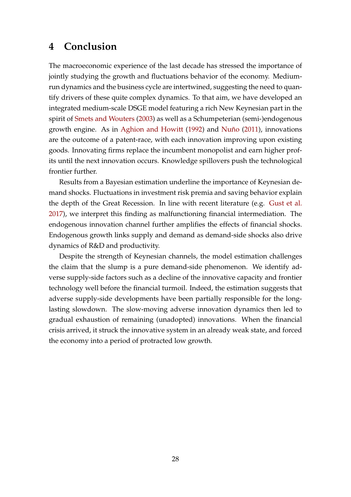### **4 Conclusion**

The macroeconomic experience of the last decade has stressed the importance of jointly studying the growth and fluctuations behavior of the economy. Mediumrun dynamics and the business cycle are intertwined, suggesting the need to quantify drivers of these quite complex dynamics. To that aim, we have developed an integrated medium-scale DSGE model featuring a rich New Keynesian part in the spirit of Smets and Wouters (2003) as well as a Schumpeterian (semi-)endogenous growth engine. As in Aghion and Howitt (1992) and Nuño (2011), innovations are the outcome of a patent-race, with each innovation improving upon existing goods. Innovating firms replace the incumbent monopolist and earn higher profits until the next innovation occurs. Knowledge spillovers push the technological frontier further.

Results from a Bayesian estimation underline the importance of Keynesian demand shocks. Fluctuations in investment risk premia and saving behavior explain the depth of the Great Recession. In line with recent literature (e.g. Gust et al. 2017), we interpret this finding as malfunctioning financial intermediation. The endogenous innovation channel further amplifies the effects of financial shocks. Endogenous growth links supply and demand as demand-side shocks also drive dynamics of R&D and productivity.

Despite the strength of Keynesian channels, the model estimation challenges the claim that the slump is a pure demand-side phenomenon. We identify adverse supply-side factors such as a decline of the innovative capacity and frontier technology well before the financial turmoil. Indeed, the estimation suggests that adverse supply-side developments have been partially responsible for the longlasting slowdown. The slow-moving adverse innovation dynamics then led to gradual exhaustion of remaining (unadopted) innovations. When the financial crisis arrived, it struck the innovative system in an already weak state, and forced the economy into a period of protracted low growth.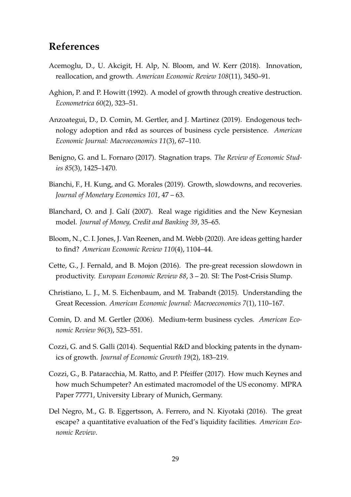## **References**

- Acemoglu, D., U. Akcigit, H. Alp, N. Bloom, and W. Kerr (2018). Innovation, reallocation, and growth. *American Economic Review 108*(11), 3450–91.
- Aghion, P. and P. Howitt (1992). A model of growth through creative destruction. *Econometrica 60*(2), 323–51.
- Anzoategui, D., D. Comin, M. Gertler, and J. Martinez (2019). Endogenous technology adoption and r&d as sources of business cycle persistence. *American Economic Journal: Macroeconomics 11*(3), 67–110.
- Benigno, G. and L. Fornaro (2017). Stagnation traps. *The Review of Economic Studies 85*(3), 1425–1470.
- Bianchi, F., H. Kung, and G. Morales (2019). Growth, slowdowns, and recoveries. *Journal of Monetary Economics 101*, 47 – 63.
- Blanchard, O. and J. Galí (2007). Real wage rigidities and the New Keynesian model. *Journal of Money, Credit and Banking 39*, 35–65.
- Bloom, N., C. I. Jones, J. Van Reenen, and M. Webb (2020). Are ideas getting harder to find? *American Economic Review 110*(4), 1104–44.
- Cette, G., J. Fernald, and B. Mojon (2016). The pre-great recession slowdown in productivity. *European Economic Review 88*, 3 – 20. SI: The Post-Crisis Slump.
- Christiano, L. J., M. S. Eichenbaum, and M. Trabandt (2015). Understanding the Great Recession. *American Economic Journal: Macroeconomics 7*(1), 110–167.
- Comin, D. and M. Gertler (2006). Medium-term business cycles. *American Economic Review 96*(3), 523–551.
- Cozzi, G. and S. Galli (2014). Sequential R&D and blocking patents in the dynamics of growth. *Journal of Economic Growth 19*(2), 183–219.
- Cozzi, G., B. Pataracchia, M. Ratto, and P. Pfeiffer (2017). How much Keynes and how much Schumpeter? An estimated macromodel of the US economy. MPRA Paper 77771, University Library of Munich, Germany.
- Del Negro, M., G. B. Eggertsson, A. Ferrero, and N. Kiyotaki (2016). The great escape? a quantitative evaluation of the Fed's liquidity facilities. *American Economic Review*.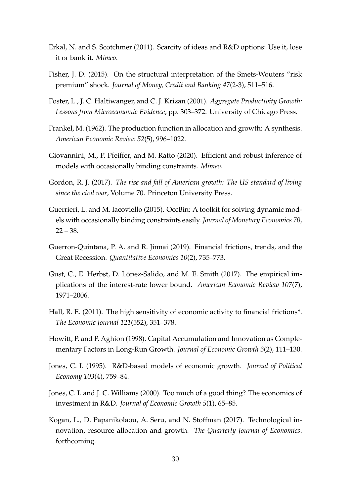- Erkal, N. and S. Scotchmer (2011). Scarcity of ideas and R&D options: Use it, lose it or bank it. *Mimeo*.
- Fisher, J. D. (2015). On the structural interpretation of the Smets-Wouters "risk premium" shock. *Journal of Money, Credit and Banking 47*(2-3), 511–516.
- Foster, L., J. C. Haltiwanger, and C. J. Krizan (2001). *Aggregate Productivity Growth: Lessons from Microeconomic Evidence*, pp. 303–372. University of Chicago Press.
- Frankel, M. (1962). The production function in allocation and growth: A synthesis. *American Economic Review 52*(5), 996–1022.
- Giovannini, M., P. Pfeiffer, and M. Ratto (2020). Efficient and robust inference of models with occasionally binding constraints. *Mimeo*.
- Gordon, R. J. (2017). *The rise and fall of American growth: The US standard of living since the civil war*, Volume 70. Princeton University Press.
- Guerrieri, L. and M. Iacoviello (2015). OccBin: A toolkit for solving dynamic models with occasionally binding constraints easily. *Journal of Monetary Economics 70*,  $22 - 38.$
- Guerron-Quintana, P. A. and R. Jinnai (2019). Financial frictions, trends, and the Great Recession. *Quantitative Economics 10*(2), 735–773.
- Gust, C., E. Herbst, D. López-Salido, and M. E. Smith (2017). The empirical implications of the interest-rate lower bound. *American Economic Review 107*(7), 1971–2006.
- Hall, R. E. (2011). The high sensitivity of economic activity to financial frictions\*. *The Economic Journal 121*(552), 351–378.
- Howitt, P. and P. Aghion (1998). Capital Accumulation and Innovation as Complementary Factors in Long-Run Growth. *Journal of Economic Growth 3*(2), 111–130.
- Jones, C. I. (1995). R&D-based models of economic growth. *Journal of Political Economy 103*(4), 759–84.
- Jones, C. I. and J. C. Williams (2000). Too much of a good thing? The economics of investment in R&D. *Journal of Economic Growth 5*(1), 65–85.
- Kogan, L., D. Papanikolaou, A. Seru, and N. Stoffman (2017). Technological innovation, resource allocation and growth. *The Quarterly Journal of Economics*. forthcoming.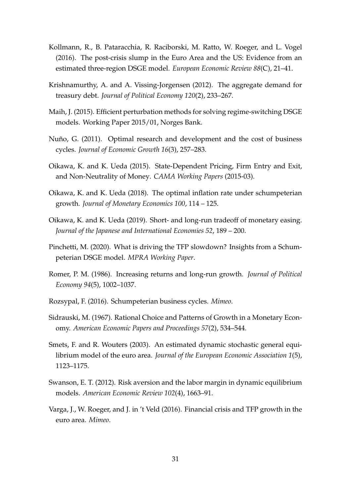- Kollmann, R., B. Pataracchia, R. Raciborski, M. Ratto, W. Roeger, and L. Vogel (2016). The post-crisis slump in the Euro Area and the US: Evidence from an estimated three-region DSGE model. *European Economic Review 88*(C), 21–41.
- Krishnamurthy, A. and A. Vissing-Jorgensen (2012). The aggregate demand for treasury debt. *Journal of Political Economy 120*(2), 233–267.
- Maih, J. (2015). Efficient perturbation methods for solving regime-switching DSGE models. Working Paper 2015/01, Norges Bank.
- Nuño, G. (2011). Optimal research and development and the cost of business cycles. *Journal of Economic Growth 16*(3), 257–283.
- Oikawa, K. and K. Ueda (2015). State-Dependent Pricing, Firm Entry and Exit, and Non-Neutrality of Money. *CAMA Working Papers* (2015-03).
- Oikawa, K. and K. Ueda (2018). The optimal inflation rate under schumpeterian growth. *Journal of Monetary Economics 100*, 114 – 125.
- Oikawa, K. and K. Ueda (2019). Short- and long-run tradeoff of monetary easing. *Journal of the Japanese and International Economies 52*, 189 – 200.
- Pinchetti, M. (2020). What is driving the TFP slowdown? Insights from a Schumpeterian DSGE model. *MPRA Working Paper*.
- Romer, P. M. (1986). Increasing returns and long-run growth. *Journal of Political Economy 94*(5), 1002–1037.
- Rozsypal, F. (2016). Schumpeterian business cycles. *Mimeo*.
- Sidrauski, M. (1967). Rational Choice and Patterns of Growth in a Monetary Economy. *American Economic Papers and Proceedings 57*(2), 534–544.
- Smets, F. and R. Wouters (2003). An estimated dynamic stochastic general equilibrium model of the euro area. *Journal of the European Economic Association 1*(5), 1123–1175.
- Swanson, E. T. (2012). Risk aversion and the labor margin in dynamic equilibrium models. *American Economic Review 102*(4), 1663–91.
- Varga, J., W. Roeger, and J. in 't Veld (2016). Financial crisis and TFP growth in the euro area. *Mimeo*.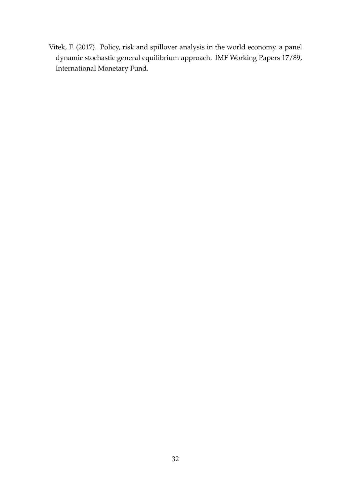Vitek, F. (2017). Policy, risk and spillover analysis in the world economy. a panel dynamic stochastic general equilibrium approach. IMF Working Papers 17/89, International Monetary Fund.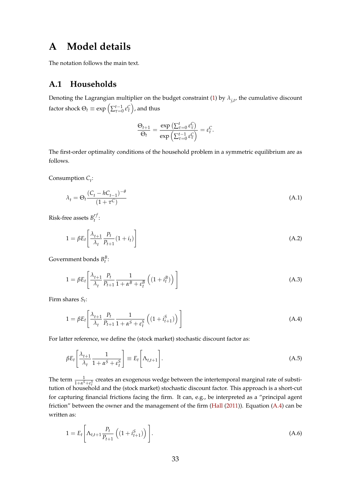### **A Model details**

The notation follows the main text.

### **A.1 Households**

Denoting the Lagrangian multiplier on the budget constraint (1) by  $\lambda_{j,t'}^{\phantom{\dag}}$  the cumulative discount factor shock  $\Theta_t \equiv \exp\left(\sum_{\tau=0}^{t-1}\varepsilon_\tau^{\mathsf{C}}\right)$ , and thus

$$
\frac{\Theta_{t+1}}{\Theta_t} = \frac{\exp\left(\sum_{\tau=0}^t \varepsilon_{\tau}^C\right)}{\exp\left(\sum_{\tau=0}^{t-1} \varepsilon_{\tau}^C\right)} = \varepsilon_t^C.
$$

The first-order optimality conditions of the household problem in a symmetric equilibrium are as follows.

Consumption *C<sup>t</sup>* :

$$
\lambda_t = \Theta_t \frac{\left(C_t - hC_{t-1}\right)^{-\theta}}{\left(1 + \tau^C\right)}\tag{A.1}
$$

Risk-free assets  $B_t^{rf}$ *t* :

$$
1 = \beta E_t \left[ \frac{\lambda_{t+1}}{\lambda_t} \frac{P_t}{P_{t+1}} (1 + i_t) \right]
$$
 (A.2)

Government bonds  $B_t^B$ :

$$
1 = \beta E_t \left[ \frac{\lambda_{t+1}}{\lambda_t} \frac{P_t}{P_{t+1}} \frac{1}{1 + \alpha^B + \varepsilon_t^B} \left( (1 + i_t^B) \right) \right]
$$
(A.3)

Firm shares *St* :

$$
1 = \beta E_t \left[ \frac{\lambda_{t+1}}{\lambda_t} \frac{P_t}{P_{t+1}} \frac{1}{1 + \alpha^S + \varepsilon_t^S} \left( (1 + i_{t+1}^S) \right) \right]
$$
(A.4)

For latter reference, we define the (stock market) stochastic discount factor as:

$$
\beta E_t \left[ \frac{\lambda_{t+1}}{\lambda_t} \frac{1}{1 + \alpha^S + \varepsilon_t^S} \right] \equiv E_t \left[ \Lambda_{t,t+1} \right]. \tag{A.5}
$$

The term  $\frac{1}{1+\alpha^S+\epsilon_i^S}$  creates an exogenous wedge between the intertemporal marginal rate of substitution of household and the (stock market) stochastic discount factor. This approach is a short-cut for capturing financial frictions facing the firm. It can, e.g., be interpreted as a "principal agent friction" between the owner and the management of the firm (Hall (2011)). Equation (A.4) can be written as:

$$
1 = E_t \left[ \Lambda_{t,t+1} \frac{P_t}{P_{t+1}} \left( (1 + i_{t+1}^S) \right) \right].
$$
 (A.6)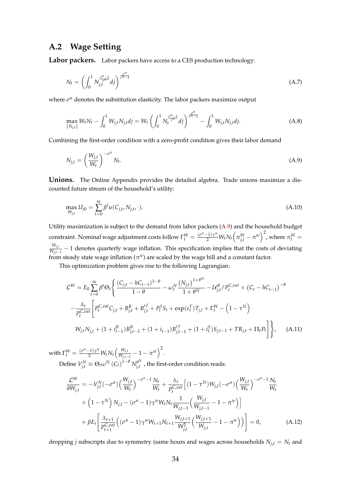### **A.2 Wage Setting**

Labor packers. Labor packers have access to a CES production technology:

$$
N_t = \left(\int_0^1 N_{j,t}^{\frac{\sigma^n - 1}{\sigma^n}} df\right)^{\frac{\sigma^n}{\sigma^n - 1}}
$$
\n(A.7)

where *σ<sup>n</sup>* denotes the substitution elasticity. The labor packers maximize output

$$
\max_{\{N_{j,t}\}} W_t N_t - \int_0^1 W_{j,t} N_{j,t} dj = W_t \left( \int_0^1 N_t^{\frac{\sigma^n - 1}{\sigma^n}} dj \right)^{\frac{\sigma^n}{\sigma^n - 1}} - \int_0^1 W_{j,t} N_{j,t} dj. \tag{A.8}
$$

Combining the first-order condition with a zero-profit condition gives their labor demand

$$
N_{j,t} = \left(\frac{W_{j,t}}{W_t}\right)^{-\sigma^n} N_t.
$$
\n(A.9)

**Unions.** The Online Appendix provides the detailed algebra. Trade unions maximize a discounted future stream of the household's utility:

$$
\max_{W_{j,t}} U_{j0} = \sum_{t=0}^{\infty} \beta^t u(C_{j,t}, N_{j,t}, \cdot). \tag{A.10}
$$

Utility maximization is subject to the demand from labor packers (A.9) and the household budget constraint. Nominal wage adjustment costs follow  $\Gamma_t^W=\frac{(\sigma^n-1)\gamma^w}{2}W_tN_t\Big(\pi_{j,t}^W-\pi^w\Big)^2$ , where  $\pi_t^W=$ *Wj*,*<sup>t</sup>*  $\frac{W_{j,t}}{W_{j,t-1}}$  − 1 denotes quarterly wage inflation. This specification implies that the costs of deviating from steady state wage inflation  $(\pi^w)$  are scaled by the wage bill and a constant factor.

This optimization problem gives rise to the following Lagrangian:

$$
\mathcal{L}^{W} = E_{0} \sum_{t=0}^{\infty} \beta^{t} \Theta_{t} \Biggl\{ \frac{(C_{j,t} - hC_{t-1})^{1-\theta}}{1-\theta} - \omega_{t}^{N} \frac{(N_{j,t})^{1+\theta^{N}}}{1+\theta^{N}} - \mathcal{U}_{j,t}^{B} / P_{t}^{C,out} \times (C_{t} - hC_{t-1})^{-\theta} - \frac{\lambda_{t}}{P_{t}^{C,out}} \Biggl[ P_{t}^{C,out} C_{j,t} + B_{j,t}^{B} + B_{j,t}^{rf} + P_{t}^{S} S_{t} + \exp(\varepsilon_{t}^{T}) T_{j,t} + \Gamma_{t}^{W} - (1 - \tau^{N}) W_{j,t} N_{j,t} + (1 + i_{t-1}^{B}) B_{j,t-1}^{B} + (1 + i_{t-1}) B_{j,t-1}^{rf} + (1 + i_{t}^{S}) S_{j,t-1} + T R_{j,t} + \Pi_{t} P_{t} \Biggr] \Biggr\}, \quad (A.11)
$$

 $\text{with } \Gamma_t^W = \frac{(\sigma^n-1)\gamma^w}{2}W_tN_t\Big(\frac{W_{j,t}}{W_{j,t-1}}\Big)$  $\frac{W_{j,t}}{W_{j,t-1}}-1-\pi^w\Big)^2.$  $D$ efine  $V_{j,t}^N \equiv \Theta_t \omega^N (C_t)^{1-\theta} N_{j,t}^{\theta^N}$  $\theta_{j,t}^{\omega}$ , the first-order condition reads:

$$
\frac{\mathcal{L}^{W}}{\partial W_{j,t}} = -V_{j,t}^{N}(-\sigma^{n}) \left(\frac{W_{j,t}}{W_{t}}\right)^{-\sigma^{n}-1} \frac{N_{t}}{W_{t}} + \frac{\lambda_{t}}{P_{t}^{C,out}} \left[ (1 - \tau^{N}) W_{j,t}(-\sigma^{n}) \left(\frac{W_{j,t}}{W_{t}}\right)^{-\sigma^{n}-1} \frac{N_{t}}{W_{t}} + \left( 1 - \tau^{N} \right) N_{j,t} - (\sigma^{n} - 1) \gamma^{w} W_{t} N_{t} \frac{1}{W_{j,t-1}} \left(\frac{W_{j,t}}{W_{j,t-1}} - 1 - \pi^{w} \right) \right] + \beta E_{t} \left[ \frac{\lambda_{t+1}}{P_{t+1}^{C,out}} \left( (\sigma^{n} - 1) \gamma^{w} W_{t+1} N_{t+1} \frac{W_{j,t+1}}{W_{j,t}^{2}} \left(\frac{W_{j,t+1}}{W_{j,t}} - 1 - \pi^{w} \right) \right) \right] = 0, \quad (A.12)
$$

dropping *j* subscripts due to symmetry (same hours and wages across households  $N_{j,t} = N_t$  and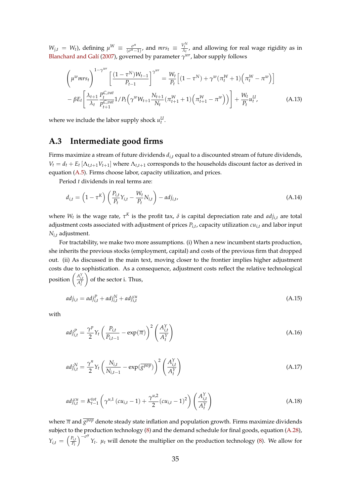$W_{j,t} = W_t$ , defining  $\mu^W \equiv \frac{\sigma^n}{(\sigma^n - \sigma)}$  $\frac{\sigma^n}{(\sigma^n - 1)}$ , and  $mrs_t \equiv \frac{V_t^N}{\lambda_t}$ , and allowing for real wage rigidity as in Blanchard and Galí (2007), governed by parameter *γ wr*, labor supply follows

$$
\left(\mu^{w} m r s_{t}\right)^{1-\gamma^{wr}} \left[\frac{(1-\tau^{N})W_{t-1}}{P_{t-1}}\right]^{\gamma^{wr}} = \frac{W_{t}}{P_{t}} \left[(1-\tau^{N}) + \gamma^{w}(\pi_{t}^{W}+1)\left(\pi_{t}^{W}-\pi^{w}\right)\right]
$$

$$
-\beta E_{t} \left[\frac{\lambda_{t+1}}{\lambda_{t}} \frac{P_{t}^{C, val}}{P_{t+1}^{C, val}} 1/P_{t}\left(\gamma^{w} W_{t+1} \frac{N_{t+1}}{N_{t}}(\pi_{t+1}^{W}+1)\left(\pi_{t+1}^{W}-\pi^{w}\right)\right)\right] + \frac{W_{t}}{P_{t}} u_{t}^{U}, \tag{A.13}
$$

where we include the labor supply shock  $u_t^U$ .

### **A.3 Intermediate good firms**

Firms maximize a stream of future dividends *di*,*<sup>t</sup>* equal to a discounted stream of future dividends,  $V_t = d_t + E_t [\Lambda_{t,t+1} V_{t+1}]$  where  $\Lambda_{t,t+1}$  corresponds to the households discount factor as derived in equation (A.5). Firms choose labor, capacity utilization, and prices.

Period *t* dividends in real terms are:

$$
d_{i,t} = \left(1 - \tau^K\right) \left(\frac{P_{i,t}}{P_t} Y_{i,t} - \frac{W_t}{P_t} N_{i,t}\right) - adj_{i,t},\tag{A.14}
$$

where  $W_t$  is the wage rate,  $\tau^K$  is the profit tax,  $\delta$  is capital depreciation rate and  $adj_{i,t}$  are total adjustment costs associated with adjustment of prices  $P_{i,t}$ , capacity utilization  $cu_{i,t}$  and labor input *Ni*,*<sup>t</sup>* adjustment.

For tractability, we make two more assumptions. (i) When a new incumbent starts production, she inherits the previous stocks (employment, capital) and costs of the previous firm that dropped out. (ii) As discussed in the main text, moving closer to the frontier implies higher adjustment costs due to sophistication. As a consequence, adjustment costs reflect the relative technological position  $\left(\frac{A_{i,t}^Y}{A_t^Y}\right)$ of the sector i. Thus,

$$
adj_{i,t} = adj_{i,t}^P + adj_{i,t}^N + adj_{i,t}^{cu}
$$
\n(A.15)

with

$$
adj_{i,t}^{P} = \frac{\gamma^{p}}{2} Y_t \left( \frac{P_{i,t}}{P_{i,t-1}} - \exp(\overline{\pi}) \right)^2 \left( \frac{A_{i,t}^Y}{A_t^Y} \right)
$$
(A.16)

$$
adj_{i,t}^{N} = \frac{\gamma^{n}}{2} Y_t \left( \frac{N_{i,t}}{N_{i,t-1}} - \exp(\overline{g^{pop}}) \right)^2 \left( \frac{A_{i,t}^{Y}}{A_t^{Y}} \right)
$$
(A.17)

$$
adj_{i,t}^{cu} = K_{t-1}^{tot} \left( \gamma^{u,1} \left( cu_{i,t} - 1 \right) + \frac{\gamma^{u,2}}{2} \left( cu_{i,t} - 1 \right)^2 \right) \left( \frac{A_{i,t}^Y}{A_t^Y} \right)
$$
(A.18)

where *π* and *g pop* denote steady state inflation and population growth. Firms maximize dividends subject to the production technology (8) and the demand schedule for final goods, equation (A.28),  $Y_{i,t} = \left(\frac{P_{i,t}}{P_t}\right)$ *Pt*  $\int$ <sup>- $\sigma$ y</sup> *Yt* . *µt* will denote the multiplier on the production technology (8). We allow for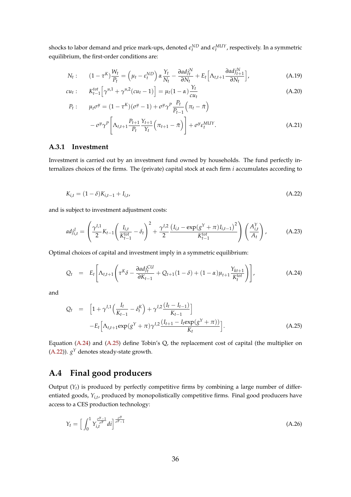shocks to labor demand and price mark-ups, denoted  $\epsilon_t^{ND}$  and  $\epsilon_t^{MUY}$ , respectively. In a symmetric equilibrium, the first-order conditions are:

$$
N_t: \qquad (1-\tau^K)\frac{W_t}{P_t} = \left(\mu_t - \varepsilon_t^{ND}\right)\alpha\frac{Y_t}{N_t} - \frac{\partial adj_t^N}{\partial N_t} + E_t\left[\Lambda_{t,t+1}\frac{\partial adj_{t+1}^N}{\partial N_t}\right],\tag{A.19}
$$

$$
cu_{t}: K_{t-1}^{tot} \left[ \gamma^{u,1} + \gamma^{u,2} (cu_{t} - 1) \right] = \mu_{t} (1 - \alpha) \frac{Y_{t}}{cu_{t}}
$$
(A.20)

$$
P_{t}: \mu_{t}\sigma^{y} = (1 - \tau^{K})(\sigma^{y} - 1) + \sigma^{y}\gamma^{P}\frac{P_{t}}{P_{t-1}}(\pi_{t} - \bar{\pi}) - \sigma^{y}\gamma^{P}\left[\Lambda_{t,t+1}\frac{P_{t+1}}{P_{t}}\frac{Y_{t+1}}{Y_{t}}(\pi_{t+1} - \bar{\pi})\right] + \sigma^{y}\epsilon_{t}^{MUY}.
$$
\n(A.21)

#### **A.3.1 Investment**

Investment is carried out by an investment fund owned by households. The fund perfectly internalizes choices of the firms. The (private) capital stock at each firm *i* accumulates according to

$$
K_{i,t} = (1 - \delta)K_{i,t-1} + I_{i,t},
$$
\n(A.22)

and is subject to investment adjustment costs:

$$
adj_{i,t}^{I} = \left(\frac{\gamma^{I,1}}{2}K_{t-1}\left(\frac{I_{i,t}}{K_{t-1}^{tot}} - \delta_{t}\right)^{2} + \frac{\gamma^{I,2}}{2}\frac{\left(I_{i,t} - \exp(g^{Y} + \pi)I_{i,t-1}\right)^{2}}{K_{t-1}^{tot}}\right)\left(\frac{A_{i,t}^{Y}}{A_{t}}\right),\tag{A.23}
$$

Optimal choices of capital and investment imply in a symmetric equilibrium:

$$
Q_t = E_t \left[ \Lambda_{t,t+1} \left( \tau^K \delta - \frac{\partial a d j_t^{CU}}{\partial K_{t-1}} + Q_{t+1} (1 - \delta) + (1 - \alpha) \mu_{t+1} \frac{Y_{kt+1}}{K_t^{tot}} \right) \right], \tag{A.24}
$$

and

$$
Q_{t} = \left[1 + \gamma^{I,1}\left(\frac{I_{t}}{K_{t-1}} - \delta_{t}^{K}\right) + \gamma^{I,2}\frac{(I_{t} - I_{t-1})}{K_{t-1}}\right] - E_{t}\left[\Lambda_{t,t+1} \exp(g^{Y} + \pi)\gamma^{I,2}\frac{(I_{t+1} - I_{t}\exp(g^{Y} + \pi))}{K_{t}}\right].
$$
\n(A.25)

Equation (A.24) and (A.25) define Tobin's Q, the replacement cost of capital (the multiplier on  $(A.22)$ ).  $g<sup>Y</sup>$  denotes steady-state growth.

### **A.4 Final good producers**

Output  $(Y_t)$  is produced by perfectly competitive firms by combining a large number of differentiated goods,  $Y_{i,t}$ , produced by monopolistically competitive firms. Final good producers have access to a CES production technology:

$$
Y_t = \left[ \int_0^1 Y_{i,t}^{\frac{\sigma^y - 1}{\sigma^y - 1}} dt \right]^{\frac{\sigma^y}{\sigma^y - 1}}
$$
(A.26)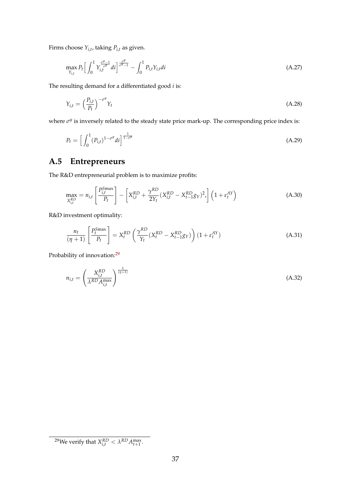Firms choose *Yi*,*<sup>t</sup>* , taking *Pi*,*<sup>t</sup>* as given.

$$
\max_{Y_{i,t}} P_t \left[ \int_0^1 Y_{i,t}^{\frac{\sigma^y - 1}{\sigma^y}} dt \right]_{\sigma^y - 1}^{\frac{\sigma^y}{\sigma^y - 1}} - \int_0^1 P_{i,t} Y_{i,t} dt
$$
\n(A.27)

The resulting demand for a differentiated good *i* is:

$$
Y_{i,t} = \left(\frac{P_{i,t}}{P_t}\right)^{-\sigma^y} Y_t
$$
\n(A.28)

where *σ<sup>y</sup>* is inversely related to the steady state price mark-up. The corresponding price index is:

$$
P_t = \left[ \int_0^1 (P_{i,t})^{1-\sigma^y} dt \right]^{\frac{1}{1-\sigma^y}}
$$
(A.29)

## **A.5 Entrepreneurs**

The R&D entrepreneurial problem is to maximize profits:

$$
\max_{X_{i,t}^{RD}} = n_{i,t} \left[ \frac{P_{i,t}^{Smax}}{P_t} \right] - \left[ X_{i,t}^{RD} + \frac{\gamma^{RD}}{2Y_t} (X_{i,t}^{RD} - X_{t-1}^{RD} g_Y)^2 \right] \left( 1 + \varepsilon_t^{AY} \right)
$$
(A.30)

R&D investment optimality:

$$
\frac{n_t}{(\eta+1)} \left[ \frac{P_t^{Smax}}{P_t} \right] = X_t^{RD} \left( \frac{\gamma^{RD}}{Y_t} (X_t^{RD} - X_{t-1}^{RD} g_Y) \right) (1 + \varepsilon_t^{AY}) \tag{A.31}
$$

Probability of innovation:<sup>29</sup>

$$
n_{i,t} = \left(\frac{X_{i,t}^{RD}}{\lambda^{RD} A_{i,t}^{\max}}\right)^{\frac{1}{(\eta+1)}}
$$
(A.32)

<sup>&</sup>lt;sup>29</sup>We verify that  $X_{i,t}^{RD} < \lambda^{RD} A_{t+1}^{\max}$ .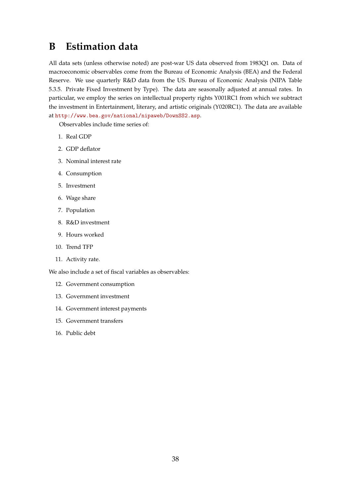## **B Estimation data**

All data sets (unless otherwise noted) are post-war US data observed from 1983Q1 on. Data of macroeconomic observables come from the Bureau of Economic Analysis (BEA) and the Federal Reserve. We use quarterly R&D data from the US. Bureau of Economic Analysis (NIPA Table 5.3.5. Private Fixed Investment by Type). The data are seasonally adjusted at annual rates. In particular, we employ the series on intellectual property rights Y001RC1 from which we subtract the investment in Entertainment, literary, and artistic originals (Y020RC1). The data are available at http://www.bea.gov/national/nipaweb/DownSS2.asp.

Observables include time series of:

- 1. Real GDP
- 2. GDP deflator
- 3. Nominal interest rate
- 4. Consumption
- 5. Investment
- 6. Wage share
- 7. Population
- 8. R&D investment
- 9. Hours worked
- 10. Trend TFP
- 11. Activity rate.

We also include a set of fiscal variables as observables:

- 12. Government consumption
- 13. Government investment
- 14. Government interest payments
- 15. Government transfers
- 16. Public debt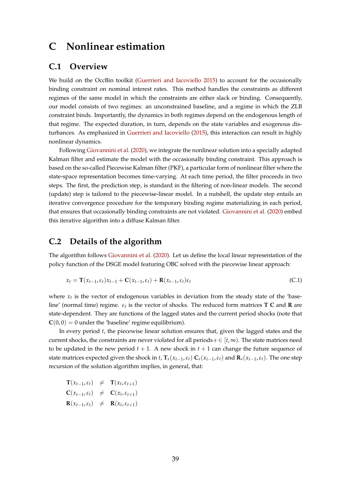### **C Nonlinear estimation**

### **C.1 Overview**

We build on the OccBin toolkit (Guerrieri and Iacoviello 2015) to account for the occasionally binding constraint on nominal interest rates. This method handles the constraints as different regimes of the same model in which the constraints are either slack or binding. Consequently, our model consists of two regimes: an unconstrained baseline, and a regime in which the ZLB constraint binds. Importantly, the dynamics in both regimes depend on the endogenous length of that regime. The expected duration, in turn, depends on the state variables and exogenous disturbances. As emphasized in Guerrieri and Iacoviello (2015), this interaction can result in highly nonlinear dynamics.

Following Giovannini et al. (2020), we integrate the nonlinear solution into a specially adapted Kalman filter and estimate the model with the occasionally binding constraint. This approach is based on the so-called Piecewise Kalman filter (PKF), a particular form of nonlinear filter where the state-space representation becomes time-varying. At each time period, the filter proceeds in two steps. The first, the prediction step, is standard in the filtering of non-linear models. The second (update) step is tailored to the piecewise-linear model. In a nutshell, the update step entails an iterative convergence procedure for the temporary binding regime materializing in each period, that ensures that occasionally binding constraints are not violated. Giovannini et al. (2020) embed this iterative algorithm into a diffuse Kalman filter.

### **C.2 Details of the algorithm**

The algorithm follows Giovannini et al. (2020). Let us define the local linear representation of the policy function of the DSGE model featuring OBC solved with the piecewise linear approach:

$$
x_t = \mathbf{T}(x_{t-1}, \varepsilon_t) x_{t-1} + \mathbf{C}(x_{t-1}, \varepsilon_t) + \mathbf{R}(x_{t-1}, \varepsilon_t) \varepsilon_t
$$
\n(C.1)

where  $x_t$  is the vector of endogenous variables in deviation from the steady state of the 'baseline' (normal time) regime. *εt* is the vector of shocks. The reduced form matrices **T C** and **R** are state-dependent. They are functions of the lagged states and the current period shocks (note that  $\mathbf{C}(0,0) = 0$  under the 'baseline' regime equilibrium).

In every period *t*, the piecewise linear solution ensures that, given the lagged states and the current shocks, the constraints are never violated for all periods  $s \in [t, \infty)$ . The state matrices need to be updated in the new period  $t + 1$ . A new shock in  $t + 1$  can change the future sequence of state matrices expected given the shock in t,  $T_s(x_{t-1}, \varepsilon_t) C_s(x_{t-1}, \varepsilon_t)$  and  $\mathbf{R}_s(x_{t-1}, \varepsilon_t)$ . The one step recursion of the solution algorithm implies, in general, that:

| $\mathbf{T}(x_{t-1}, \varepsilon_t) \neq \mathbf{T}(x_t, \varepsilon_{t+1})$ |  |
|------------------------------------------------------------------------------|--|
| $\mathbf{C}(x_{t-1}, \varepsilon_t) \neq \mathbf{C}(x_t, \varepsilon_{t+1})$ |  |
| $\mathbf{R}(x_{t-1}, \varepsilon_t) \neq \mathbf{R}(x_t, \varepsilon_{t+1})$ |  |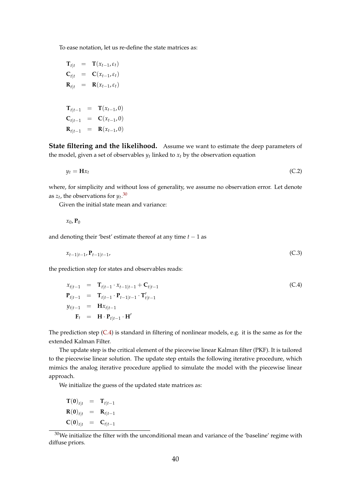To ease notation, let us re-define the state matrices as:

$$
\mathbf{T}_{t|t} = \mathbf{T}(x_{t-1}, \varepsilon_t)
$$
\n
$$
\mathbf{C}_{t|t} = \mathbf{C}(x_{t-1}, \varepsilon_t)
$$
\n
$$
\mathbf{R}_{t|t} = \mathbf{R}(x_{t-1}, \varepsilon_t)
$$
\n
$$
\mathbf{T}_{t|t-1} = \mathbf{T}(x_{t-1}, 0)
$$
\n
$$
\mathbf{C}_{t|t-1} = \mathbf{C}(x_{t-1}, 0)
$$
\n
$$
\mathbf{R}_{t|t-1} = \mathbf{R}(x_{t-1}, 0)
$$

**State filtering and the likelihood.** Assume we want to estimate the deep parameters of the model, given a set of observables  $y_t$  linked to  $x_t$  by the observation equation

$$
y_t = \mathbf{H}x_t \tag{C.2}
$$

where, for simplicity and without loss of generality, we assume no observation error. Let denote as  $z_t$ , the observations for  $y_t$ .<sup>30</sup>

Given the initial state mean and variance:

$$
x_0, \mathbf{P}_0
$$

and denoting their 'best' estimate thereof at any time  $t - 1$  as

$$
x_{t-1|t-1}, \mathbf{P}_{t-1|t-1}, \tag{C.3}
$$

the prediction step for states and observables reads:

$$
x_{t|t-1} = \mathbf{T}_{t|t-1} \cdot x_{t-1|t-1} + \mathbf{C}_{t|t-1}
$$
  
\n
$$
\mathbf{P}_{t|t-1} = \mathbf{T}_{t|t-1} \cdot \mathbf{P}_{t-1|t-1} \cdot \mathbf{T}'_{t|t-1}
$$
  
\n
$$
y_{t|t-1} = \mathbf{H} x_{t|t-1}
$$
  
\n
$$
\mathbf{F}_{t} = \mathbf{H} \cdot \mathbf{P}_{t|t-1} \cdot \mathbf{H}'
$$
 (C.4)

The prediction step (C.4) is standard in filtering of nonlinear models, e.g. it is the same as for the extended Kalman Filter.

The update step is the critical element of the piecewise linear Kalman filter (PKF). It is tailored to the piecewise linear solution. The update step entails the following iterative procedure, which mimics the analog iterative procedure applied to simulate the model with the piecewise linear approach.

We initialize the guess of the updated state matrices as:

$$
\mathbf{T}(\mathbf{0})_{t|t} = \mathbf{T}_{t|t-1}
$$
  
\n
$$
\mathbf{R}(\mathbf{0})_{t|t} = \mathbf{R}_{t|t-1}
$$
  
\n
$$
\mathbf{C}(\mathbf{0})_{t|t} = \mathbf{C}_{t|t-1}
$$

 $30$ We initialize the filter with the unconditional mean and variance of the 'baseline' regime with diffuse priors.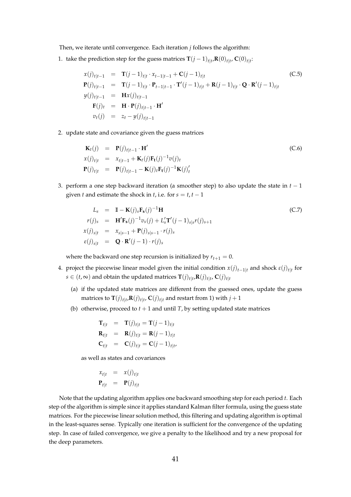Then, we iterate until convergence. Each iteration *j* follows the algorithm:

1. take the prediction step for the guess matrices  $\mathbf{T}(j-1)_{t|t}$ , $\mathbf{R}(0)_{t|t}$ ,  $\mathbf{C}(0)_{t|t}$ :

$$
x(j)_{t|t-1} = \mathbf{T}(j-1)_{t|t} \cdot x_{t-1|t-1} + \mathbf{C}(j-1)_{t|t}
$$
  
\n
$$
\mathbf{P}(j)_{t|t-1} = \mathbf{T}(j-1)_{t|t} \cdot \mathbf{P}_{t-1|t-1} \cdot \mathbf{T}'(j-1)_{t|t} + \mathbf{R}(j-1)_{t|t} \cdot \mathbf{Q} \cdot \mathbf{R}'(j-1)_{t|t}
$$
  
\n
$$
y(j)_{t|t-1} = \mathbf{H}x(j)_{t|t-1}
$$
  
\n
$$
\mathbf{F}(j)_t = \mathbf{H} \cdot \mathbf{P}(j)_{t|t-1} \cdot \mathbf{H}'
$$
  
\n
$$
v_t(j) = z_t - y(j)_{t|t-1}
$$
 (C.5)

2. update state and covariance given the guess matrices

$$
\begin{array}{rcl}\n\mathbf{K}_t(j) & = & \mathbf{P}(j)_{t|t-1} \cdot \mathbf{H}' \\
x(j)_{t|t} & = & x_{t|t-1} + \mathbf{K}_t(j)\mathbf{F}_t(j)^{-1}v(j)_t \\
\mathbf{P}(j)_{t|t} & = & \mathbf{P}(j)_{t|t-1} - \mathbf{K}(j)_t \mathbf{F}_t(j)^{-1} \mathbf{K}(j)_t'\n\end{array} \tag{C.6}
$$

3. perform a one step backward iteration (a smoother step) to also update the state in  $t - 1$ given *t* and estimate the shock in *t*, i.e. for  $s = t$ ,  $t - 1$ 

$$
L_s = \mathbf{I} - \mathbf{K}(j)_s \mathbf{F}_s(j)^{-1} \mathbf{H}
$$
  
\n
$$
r(j)_s = \mathbf{H}' \mathbf{F}_s(j)^{-1} v_s(j) + L'_s \mathbf{T}'(j-1)_{s|s} r(j)_{s+1}
$$
  
\n
$$
x(j)_{s|t} = x_{s|s-1} + \mathbf{P}(j)_{s|s-1} \cdot r(j)_s
$$
  
\n
$$
\varepsilon(j)_{s|t} = \mathbf{Q} \cdot \mathbf{R}'(j-1) \cdot r(j)_s
$$

where the backward one step recursion is initialized by  $r_{t+1} = 0$ .

- 4. project the piecewise linear model given the initial condition  $x(j)_{t-1|t}$  and shock  $\varepsilon(j)_{t|t}$  for  $s \in (t, \infty)$  and obtain the updated matrices  $\mathbf{T}(j)_{t|t} \mathbf{R}(j)_{t|t}$ ,  $\mathbf{C}(j)_{t|t}$ 
	- (a) if the updated state matrices are different from the guessed ones, update the guess matrices to  $\mathbf{T}(j)_{t|t}$ , $\mathbf{R}(j)_{t|t}$ ,  $\mathbf{C}(j)_{t|t}$  and restart from 1) with  $j+1$
	- (b) otherwise, proceed to  $t + 1$  and until *T*, by setting updated state matrices

$$
\begin{aligned}\n\mathbf{T}_{t|t} &= \mathbf{T}(j)_{t|t} = \mathbf{T}(j-1)_{t|t} \\
\mathbf{R}_{t|t} &= \mathbf{R}(j)_{t|t} = \mathbf{R}(j-1)_{t|t} \\
\mathbf{C}_{t|t} &= \mathbf{C}(j)_{t|t} = \mathbf{C}(j-1)_{t|t}.\n\end{aligned}
$$

as well as states and covariances

$$
x_{t|t} = x(j)_{t|t}
$$

$$
\mathbf{P}_{t|t} = \mathbf{P}(j)_{t|t}
$$

Note that the updating algorithm applies one backward smoothing step for each period *t*. Each step of the algorithm is simple since it applies standard Kalman filter formula, using the guess state matrices. For the piecewise linear solution method, this filtering and updating algorithm is optimal in the least-squares sense. Typically one iteration is sufficient for the convergence of the updating step. In case of failed convergence, we give a penalty to the likelihood and try a new proposal for the deep parameters.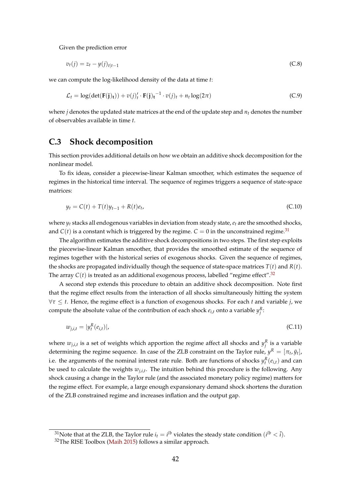Given the prediction error

$$
v_t(j) = z_t - y(j)_{t|t-1}
$$
 (C.8)

we can compute the log-likelihood density of the data at time *t*:

$$
\mathcal{L}_t = \log(\det(\mathbf{F}(\mathbf{j})_t)) + v(j)_t' \cdot \mathbf{F}(\mathbf{j})_t^{-1} \cdot v(j)_t + n_t \log(2\pi)
$$
 (C.9)

where *j* denotes the updated state matrices at the end of the update step and *nt* denotes the number of observables available in time *t*.

### **C.3 Shock decomposition**

This section provides additional details on how we obtain an additive shock decomposition for the nonlinear model.

To fix ideas, consider a piecewise-linear Kalman smoother, which estimates the sequence of regimes in the historical time interval. The sequence of regimes triggers a sequence of state-space matrices:

$$
y_t = C(t) + T(t)y_{t-1} + R(t)e_t,
$$
\n(C.10)

where  $y_t$  stacks all endogenous variables in deviation from steady state,  $e_t$  are the smoothed shocks, and  $C(t)$  is a constant which is triggered by the regime.  $C = 0$  in the unconstrained regime.<sup>31</sup>

The algorithm estimates the additive shock decompositions in two steps. The first step exploits the piecewise-linear Kalman smoother, that provides the smoothed estimate of the sequence of regimes together with the historical series of exogenous shocks. Given the sequence of regimes, the shocks are propagated individually though the sequence of state-space matrices  $T(t)$  and  $R(t)$ . The array  $C(t)$  is treated as an additional exogenous process, labelled "regime effect".<sup>32</sup>

A second step extends this procedure to obtain an additive shock decomposition. Note first that the regime effect results from the interaction of all shocks simultaneously hitting the system ∀*τ* ≤ *t*. Hence, the regime effect is a function of exogenous shocks. For each *t* and variable *j*, we compute the absolute value of the contribution of each shock  $e_{i,t}$  onto a variable  $y_j^R$ :

$$
w_{j,i,t} = |y_t^R(e_{i,t})|,\tag{C.11}
$$

where  $w_{j,i,t}$  is a set of weights which apportion the regime affect all shocks and  $y_j^R$  is a variable determining the regime sequence. In case of the ZLB constraint on the Taylor rule,  $y^R = [\pi_t, \tilde{y}_t]$ , i.e. the arguments of the nominal interest rate rule. Both are functions of shocks  $y_t^R(e_{i,t})$  and can be used to calculate the weights *wj*,*i*,*<sup>t</sup>* . The intuition behind this procedure is the following. Any shock causing a change in the Taylor rule (and the associated monetary policy regime) matters for the regime effect. For example, a large enough expansionary demand shock shortens the duration of the ZLB constrained regime and increases inflation and the output gap.

<sup>&</sup>lt;sup>31</sup>Note that at the ZLB, the Taylor rule  $i_t = i^{lb}$  violates the steady state condition  $(i^{lb} < \overline{i}).$ 

<sup>32</sup>The RISE Toolbox (Maih 2015) follows a similar approach.